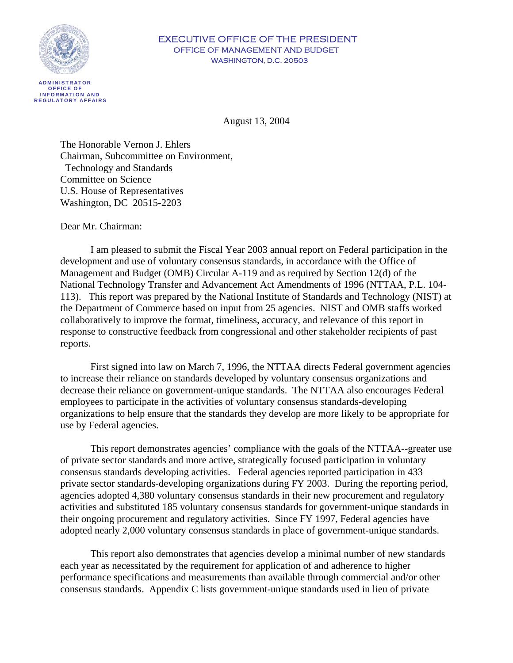

#### EXECUTIVE OFFICE OF THE PRESIDENT OFFICE OF MANAGEMENT AND BUDGET WASHINGTON, D.C. 20503

 **AD MINIS T R ATOR OFFICE OF INFORM AT ION AND R E G U L ATORY AFFAIRS**

August 13, 2004

The Honorable Vernon J. Ehlers Chairman, Subcommittee on Environment, Technology and Standards Committee on Science U.S. House of Representatives Washington, DC 20515-2203

Dear Mr. Chairman:

I am pleased to submit the Fiscal Year 2003 annual report on Federal participation in the development and use of voluntary consensus standards, in accordance with the Office of Management and Budget (OMB) Circular A-119 and as required by Section 12(d) of the National Technology Transfer and Advancement Act Amendments of 1996 (NTTAA, P.L. 104- 113). This report was prepared by the National Institute of Standards and Technology (NIST) at the Department of Commerce based on input from 25 agencies. NIST and OMB staffs worked collaboratively to improve the format, timeliness, accuracy, and relevance of this report in response to constructive feedback from congressional and other stakeholder recipients of past reports.

First signed into law on March 7, 1996, the NTTAA directs Federal government agencies to increase their reliance on standards developed by voluntary consensus organizations and decrease their reliance on government-unique standards. The NTTAA also encourages Federal employees to participate in the activities of voluntary consensus standards-developing organizations to help ensure that the standards they develop are more likely to be appropriate for use by Federal agencies.

This report demonstrates agencies' compliance with the goals of the NTTAA--greater use of private sector standards and more active, strategically focused participation in voluntary consensus standards developing activities. Federal agencies reported participation in 433 private sector standards-developing organizations during FY 2003. During the reporting period, agencies adopted 4,380 voluntary consensus standards in their new procurement and regulatory activities and substituted 185 voluntary consensus standards for government-unique standards in their ongoing procurement and regulatory activities. Since FY 1997, Federal agencies have adopted nearly 2,000 voluntary consensus standards in place of government-unique standards.

This report also demonstrates that agencies develop a minimal number of new standards each year as necessitated by the requirement for application of and adherence to higher performance specifications and measurements than available through commercial and/or other consensus standards. Appendix C lists government-unique standards used in lieu of private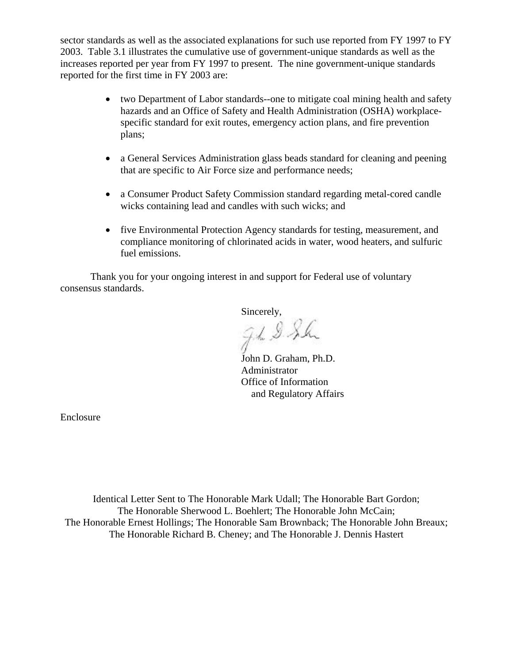sector standards as well as the associated explanations for such use reported from FY 1997 to FY 2003. Table 3.1 illustrates the cumulative use of government-unique standards as well as the increases reported per year from FY 1997 to present. The nine government-unique standards reported for the first time in FY 2003 are:

- two Department of Labor standards--one to mitigate coal mining health and safety hazards and an Office of Safety and Health Administration (OSHA) workplacespecific standard for exit routes, emergency action plans, and fire prevention plans;
- a General Services Administration glass beads standard for cleaning and peening that are specific to Air Force size and performance needs;
- a Consumer Product Safety Commission standard regarding metal-cored candle wicks containing lead and candles with such wicks; and
- five Environmental Protection Agency standards for testing, measurement, and compliance monitoring of chlorinated acids in water, wood heaters, and sulfuric fuel emissions.

Thank you for your ongoing interest in and support for Federal use of voluntary consensus standards.

Sincerely,<br>J.h. 9 S.h.

John D. Graham, Ph.D. Administrator Office of Information and Regulatory Affairs

[Enclosure](#page-2-0) 

Identical Letter Sent to The Honorable Mark Udall; The Honorable Bart Gordon; The Honorable Sherwood L. Boehlert; The Honorable John McCain; The Honorable Ernest Hollings; The Honorable Sam Brownback; The Honorable John Breaux; The Honorable Richard B. Cheney; and The Honorable J. Dennis Hastert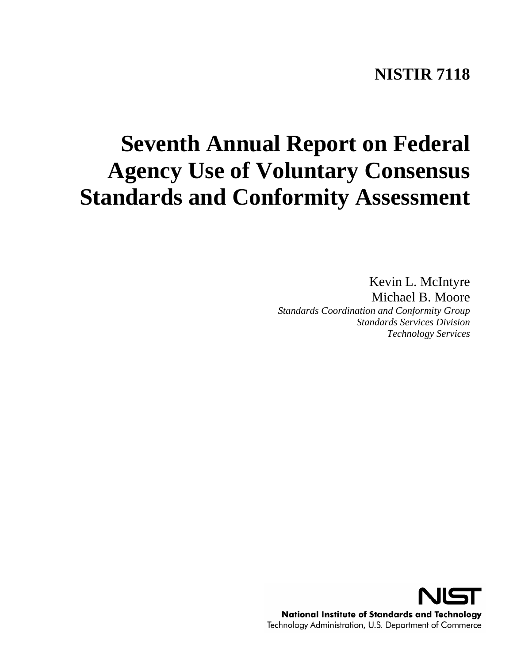## **NISTIR 7118**

# <span id="page-2-0"></span>**Seventh Annual Report on Federal Agency Use of Voluntary Consensus Standards and Conformity Assessment**

Kevin L. McIntyre Michael B. Moore *Standards Coordination and Conformity Group Standards Services Division Technology Services*

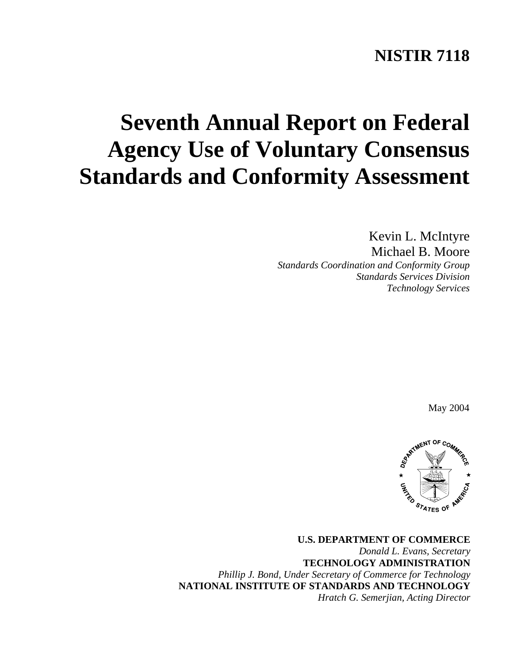## **NISTIR 7118**

## **Seventh Annual Report on Federal Agency Use of Voluntary Consensus Standards and Conformity Assessment**

Kevin L. McIntyre Michael B. Moore *Standards Coordination and Conformity Group Standards Services Division Technology Services* 

May 2004



**U.S. DEPARTMENT OF COMMERCE**  *Donald L. Evans, Secretary*  **TECHNOLOGY ADMINISTRATION**  *Phillip J. Bond, Under Secretary of Commerce for Technology*  **NATIONAL INSTITUTE OF STANDARDS AND TECHNOLOGY**  *Hratch G. Semerjian, Acting Director*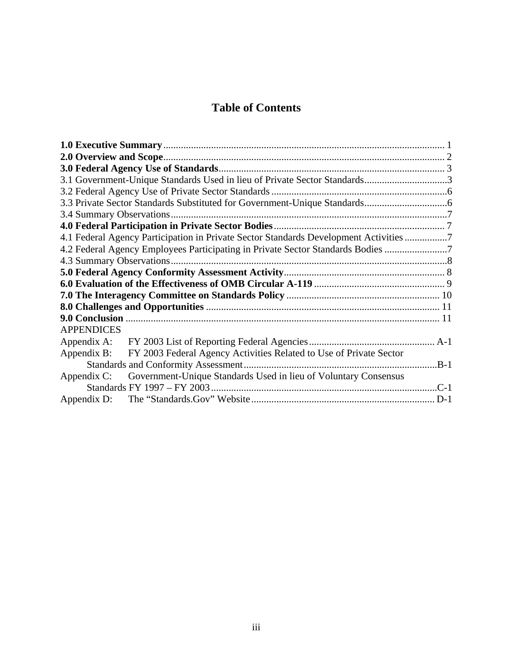## **Table of Contents**

|                   | 4.1 Federal Agency Participation in Private Sector Standards Development Activities 7 |  |  |  |  |
|-------------------|---------------------------------------------------------------------------------------|--|--|--|--|
|                   | 4.2 Federal Agency Employees Participating in Private Sector Standards Bodies         |  |  |  |  |
|                   |                                                                                       |  |  |  |  |
|                   |                                                                                       |  |  |  |  |
|                   |                                                                                       |  |  |  |  |
|                   |                                                                                       |  |  |  |  |
|                   |                                                                                       |  |  |  |  |
|                   |                                                                                       |  |  |  |  |
| <b>APPENDICES</b> |                                                                                       |  |  |  |  |
| Appendix A:       |                                                                                       |  |  |  |  |
|                   | Appendix B: FY 2003 Federal Agency Activities Related to Use of Private Sector        |  |  |  |  |
|                   |                                                                                       |  |  |  |  |
| Appendix C:       | Government-Unique Standards Used in lieu of Voluntary Consensus                       |  |  |  |  |
|                   |                                                                                       |  |  |  |  |
| Appendix D:       |                                                                                       |  |  |  |  |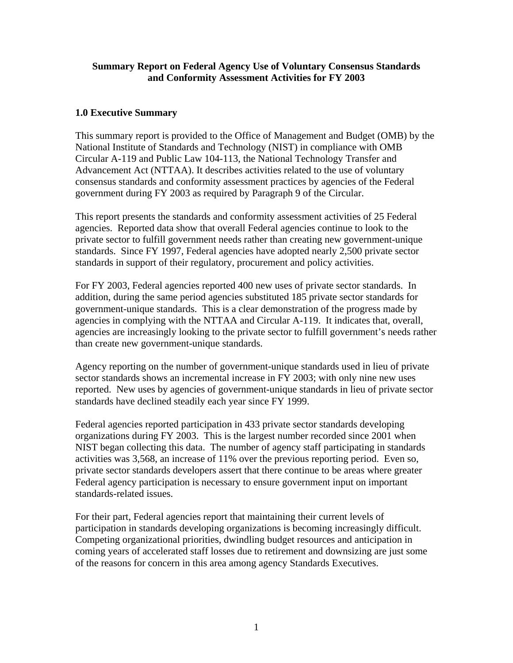#### <span id="page-5-0"></span>**Summary Report on Federal Agency Use of Voluntary Consensus Standards and Conformity Assessment Activities for FY 2003**

#### **1.0 Executive Summary**

This summary report is provided to the Office of Management and Budget (OMB) by the National Institute of Standards and Technology (NIST) in compliance with OMB Circular A-119 and Public Law 104-113, the National Technology Transfer and Advancement Act (NTTAA). It describes activities related to the use of voluntary consensus standards and conformity assessment practices by agencies of the Federal government during FY 2003 as required by Paragraph 9 of the Circular.

This report presents the standards and conformity assessment activities of 25 Federal agencies. Reported data show that overall Federal agencies continue to look to the private sector to fulfill government needs rather than creating new government-unique standards. Since FY 1997, Federal agencies have adopted nearly 2,500 private sector standards in support of their regulatory, procurement and policy activities.

For FY 2003, Federal agencies reported 400 new uses of private sector standards. In addition, during the same period agencies substituted 185 private sector standards for government-unique standards. This is a clear demonstration of the progress made by agencies in complying with the NTTAA and Circular A-119. It indicates that, overall, agencies are increasingly looking to the private sector to fulfill government's needs rather than create new government-unique standards.

Agency reporting on the number of government-unique standards used in lieu of private sector standards shows an incremental increase in FY 2003; with only nine new uses reported. New uses by agencies of government-unique standards in lieu of private sector standards have declined steadily each year since FY 1999.

Federal agencies reported participation in 433 private sector standards developing organizations during FY 2003. This is the largest number recorded since 2001 when NIST began collecting this data. The number of agency staff participating in standards activities was 3,568, an increase of 11% over the previous reporting period. Even so, private sector standards developers assert that there continue to be areas where greater Federal agency participation is necessary to ensure government input on important standards-related issues.

For their part, Federal agencies report that maintaining their current levels of participation in standards developing organizations is becoming increasingly difficult. Competing organizational priorities, dwindling budget resources and anticipation in coming years of accelerated staff losses due to retirement and downsizing are just some of the reasons for concern in this area among agency Standards Executives.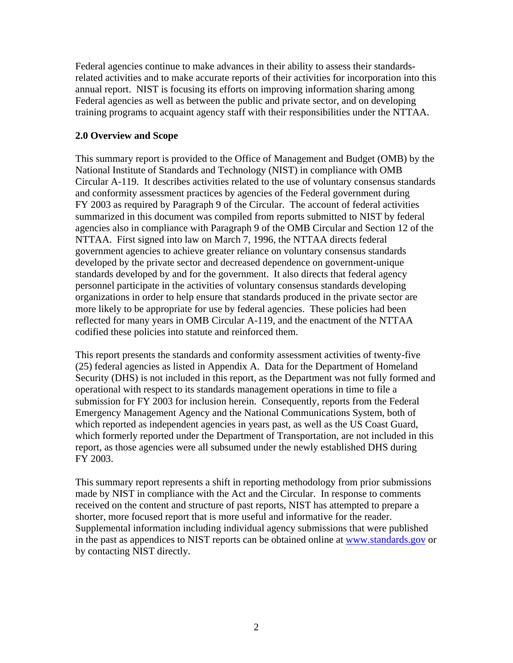<span id="page-6-0"></span>Federal agencies continue to make advances in their ability to assess their standardsrelated activities and to make accurate reports of their activities for incorporation into this annual report. NIST is focusing its efforts on improving information sharing among Federal agencies as well as between the public and private sector, and on developing training programs to acquaint agency staff with their responsibilities under the NTTAA.

#### **2.0 Overview and Scope**

This summary report is provided to the Office of Management and Budget (OMB) by the National Institute of Standards and Technology (NIST) in compliance with OMB Circular A-119. It describes activities related to the use of voluntary consensus standards and conformity assessment practices by agencies of the Federal government during FY 2003 as required by Paragraph 9 of the Circular. The account of federal activities summarized in this document was compiled from reports submitted to NIST by federal agencies also in compliance with Paragraph 9 of the OMB Circular and Section 12 of the NTTAA. First signed into law on March 7, 1996, the NTTAA directs federal government agencies to achieve greater reliance on voluntary consensus standards developed by the private sector and decreased dependence on government-unique standards developed by and for the government. It also directs that federal agency personnel participate in the activities of voluntary consensus standards developing organizations in order to help ensure that standards produced in the private sector are more likely to be appropriate for use by federal agencies. These policies had been reflected for many years in OMB Circular A-119, and the enactment of the NTTAA codified these policies into statute and reinforced them.

This report presents the standards and conformity assessment activities of twenty-five (25) federal agencies as listed in Appendix A. Data for the Department of Homeland Security (DHS) is not included in this report, as the Department was not fully formed and operational with respect to its standards management operations in time to file a submission for FY 2003 for inclusion herein. Consequently, reports from the Federal Emergency Management Agency and the National Communications System, both of which reported as independent agencies in years past, as well as the US Coast Guard, which formerly reported under the Department of Transportation, are not included in this report, as those agencies were all subsumed under the newly established DHS during FY 2003.

This summary report represents a shift in reporting methodology from prior submissions made by NIST in compliance with the Act and the Circular. In response to comments received on the content and structure of past reports, NIST has attempted to prepare a shorter, more focused report that is more useful and informative for the reader. Supplemental information including individual agency submissions that were published in the past as appendices to NIST reports can be obtained online at www.standards.gov or by contacting NIST directly.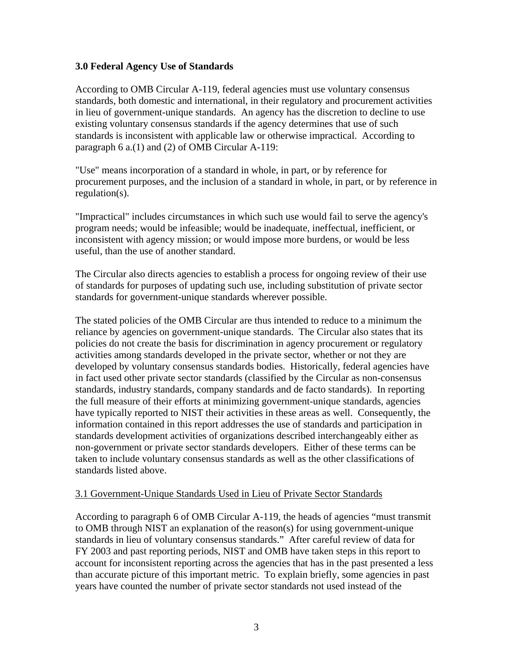#### <span id="page-7-0"></span>**3.0 Federal Agency Use of Standards**

According to OMB Circular A-119, federal agencies must use voluntary consensus standards, both domestic and international, in their regulatory and procurement activities in lieu of government-unique standards. An agency has the discretion to decline to use existing voluntary consensus standards if the agency determines that use of such standards is inconsistent with applicable law or otherwise impractical. According to paragraph 6 a.(1) and (2) of OMB Circular A-119:

"Use" means incorporation of a standard in whole, in part, or by reference for procurement purposes, and the inclusion of a standard in whole, in part, or by reference in regulation(s).

"Impractical" includes circumstances in which such use would fail to serve the agency's program needs; would be infeasible; would be inadequate, ineffectual, inefficient, or inconsistent with agency mission; or would impose more burdens, or would be less useful, than the use of another standard.

The Circular also directs agencies to establish a process for ongoing review of their use of standards for purposes of updating such use, including substitution of private sector standards for government-unique standards wherever possible.

The stated policies of the OMB Circular are thus intended to reduce to a minimum the reliance by agencies on government-unique standards. The Circular also states that its policies do not create the basis for discrimination in agency procurement or regulatory activities among standards developed in the private sector, whether or not they are developed by voluntary consensus standards bodies. Historically, federal agencies have in fact used other private sector standards (classified by the Circular as non-consensus standards, industry standards, company standards and de facto standards). In reporting the full measure of their efforts at minimizing government-unique standards, agencies have typically reported to NIST their activities in these areas as well. Consequently, the information contained in this report addresses the use of standards and participation in standards development activities of organizations described interchangeably either as non-government or private sector standards developers. Either of these terms can be taken to include voluntary consensus standards as well as the other classifications of standards listed above.

#### 3.1 Government-Unique Standards Used in Lieu of Private Sector Standards

According to paragraph 6 of OMB Circular A-119, the heads of agencies "must transmit to OMB through NIST an explanation of the reason(s) for using government-unique standards in lieu of voluntary consensus standards." After careful review of data for FY 2003 and past reporting periods, NIST and OMB have taken steps in this report to account for inconsistent reporting across the agencies that has in the past presented a less than accurate picture of this important metric. To explain briefly, some agencies in past years have counted the number of private sector standards not used instead of the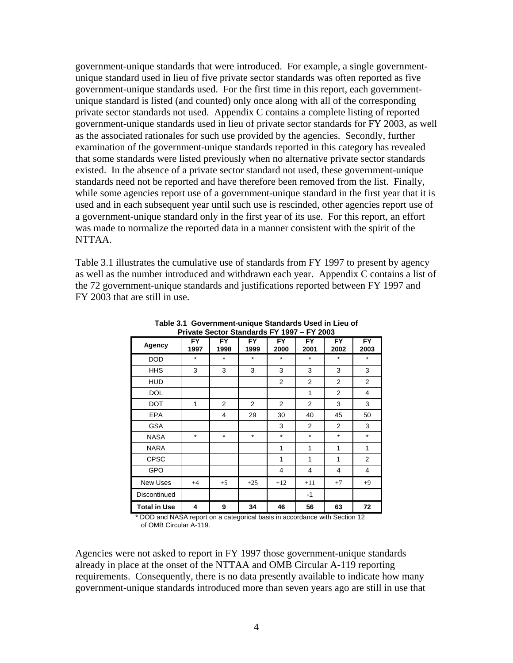government-unique standards that were introduced. For example, a single governmentunique standard used in lieu of five private sector standards was often reported as five government-unique standards used. For the first time in this report, each governmentunique standard is listed (and counted) only once along with all of the corresponding private sector standards not used. Appendix C contains a complete listing of reported government-unique standards used in lieu of private sector standards for FY 2003, as well as the associated rationales for such use provided by the agencies. Secondly, further examination of the government-unique standards reported in this category has revealed that some standards were listed previously when no alternative private sector standards existed. In the absence of a private sector standard not used, these government-unique standards need not be reported and have therefore been removed from the list. Finally, while some agencies report use of a government-unique standard in the first year that it is used and in each subsequent year until such use is rescinded, other agencies report use of a government-unique standard only in the first year of its use. For this report, an effort was made to normalize the reported data in a manner consistent with the spirit of the NTTAA.

Table 3.1 illustrates the cumulative use of standards from FY 1997 to present by agency as well as the number introduced and withdrawn each year. Appendix C contains a list of the 72 government-unique standards and justifications reported between FY 1997 and FY 2003 that are still in use.

| Agency              | <b>FY</b><br>1997 | <b>FY</b><br>1998 | <b>FY</b><br>1999 | <b>FY</b><br>2000 | <b>FY</b><br>2001 | <b>FY</b><br>2002 | <b>FY</b><br>2003 |
|---------------------|-------------------|-------------------|-------------------|-------------------|-------------------|-------------------|-------------------|
| <b>DOD</b>          | $\star$           | $\star$           | $\star$           | $\star$           | $\star$           | $\star$           | $\star$           |
| <b>HHS</b>          | 3                 | 3                 | 3                 | 3                 | 3                 | 3                 | 3                 |
| <b>HUD</b>          |                   |                   |                   | $\overline{2}$    | 2                 | 2                 | 2                 |
| <b>DOL</b>          |                   |                   |                   |                   | 1                 | 2                 | 4                 |
| <b>DOT</b>          | 1                 | $\overline{2}$    | $\overline{2}$    | 2                 | $\overline{2}$    | 3                 | 3                 |
| <b>EPA</b>          |                   | 4                 | 29                | 30                | 40                | 45                | 50                |
| <b>GSA</b>          |                   |                   |                   | 3                 | 2                 | 2                 | 3                 |
| <b>NASA</b>         | $\star$           | $\star$           | $\star$           | $\star$           | $\star$           | $\star$           | $\star$           |
| <b>NARA</b>         |                   |                   |                   | 1                 | 1                 | 1                 | 1                 |
| <b>CPSC</b>         |                   |                   |                   | 1                 | 1                 | 1                 | $\overline{2}$    |
| <b>GPO</b>          |                   |                   |                   | 4                 | 4                 | 4                 | 4                 |
| <b>New Uses</b>     | $+4$              | $+5$              | $+25$             | $+12$             | $+11$             | $+7$              | $+9$              |
| Discontinued        |                   |                   |                   |                   | $-1$              |                   |                   |
| <b>Total in Use</b> | 4                 | 9                 | 34                | 46                | 56                | 63                | 72                |

**Table 3.1 Government-unique Standards Used in Lieu of Private Sector Standards FY 1997 – FY 2003**

\* DOD and NASA report on a categorical basis in accordance with Section 12 of OMB Circular A-119.

Agencies were not asked to report in FY 1997 those government-unique standards already in place at the onset of the NTTAA and OMB Circular A-119 reporting requirements. Consequently, there is no data presently available to indicate how many government-unique standards introduced more than seven years ago are still in use that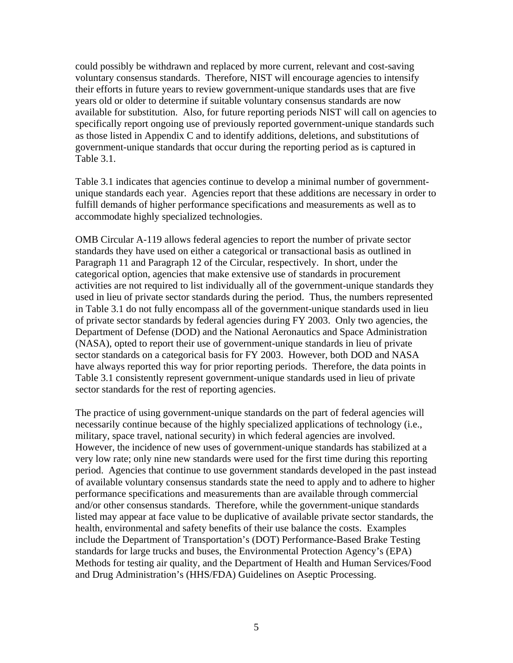could possibly be withdrawn and replaced by more current, relevant and cost-saving voluntary consensus standards. Therefore, NIST will encourage agencies to intensify their efforts in future years to review government-unique standards uses that are five years old or older to determine if suitable voluntary consensus standards are now available for substitution. Also, for future reporting periods NIST will call on agencies to specifically report ongoing use of previously reported government-unique standards such as those listed in Appendix C and to identify additions, deletions, and substitutions of government-unique standards that occur during the reporting period as is captured in Table 3.1.

Table 3.1 indicates that agencies continue to develop a minimal number of governmentunique standards each year. Agencies report that these additions are necessary in order to fulfill demands of higher performance specifications and measurements as well as to accommodate highly specialized technologies.

OMB Circular A-119 allows federal agencies to report the number of private sector standards they have used on either a categorical or transactional basis as outlined in Paragraph 11 and Paragraph 12 of the Circular, respectively. In short, under the categorical option, agencies that make extensive use of standards in procurement activities are not required to list individually all of the government-unique standards they used in lieu of private sector standards during the period. Thus, the numbers represented in Table 3.1 do not fully encompass all of the government-unique standards used in lieu of private sector standards by federal agencies during FY 2003. Only two agencies, the Department of Defense (DOD) and the National Aeronautics and Space Administration (NASA), opted to report their use of government-unique standards in lieu of private sector standards on a categorical basis for FY 2003. However, both DOD and NASA have always reported this way for prior reporting periods. Therefore, the data points in Table 3.1 consistently represent government-unique standards used in lieu of private sector standards for the rest of reporting agencies.

The practice of using government-unique standards on the part of federal agencies will necessarily continue because of the highly specialized applications of technology (i.e., military, space travel, national security) in which federal agencies are involved. However, the incidence of new uses of government-unique standards has stabilized at a very low rate; only nine new standards were used for the first time during this reporting period. Agencies that continue to use government standards developed in the past instead of available voluntary consensus standards state the need to apply and to adhere to higher performance specifications and measurements than are available through commercial and/or other consensus standards. Therefore, while the government-unique standards listed may appear at face value to be duplicative of available private sector standards, the health, environmental and safety benefits of their use balance the costs. Examples include the Department of Transportation's (DOT) Performance-Based Brake Testing standards for large trucks and buses, the Environmental Protection Agency's (EPA) Methods for testing air quality, and the Department of Health and Human Services/Food and Drug Administration's (HHS/FDA) Guidelines on Aseptic Processing.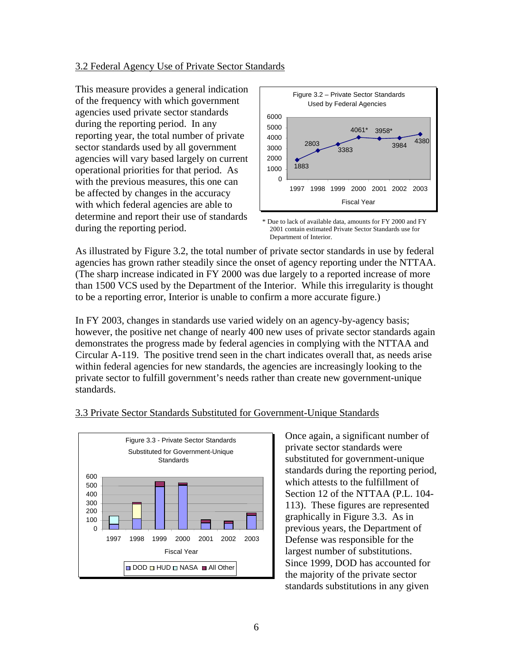#### <span id="page-10-0"></span>3.2 Federal Agency Use of Private Sector Standards

This measure provides a general i ndication of the frequency with which governmen t agencies used private sector standards during the reporting period. In any reporting year, the total number of priva te sector standards used by all governm ent agencies will vary based largely on current operational priorities for that period. As with the previous measures, this on e can be affected by changes in the accuracy with which federal agencies are able to determine and report their use of standards during the reporting period.



<sup>\*</sup> Due to lack of available data, amounts for FY 2000 and FY 2001 contain estimated Private Sector Standards use for Department of Interior.

As illustrated by Figure 3.2, the total number of private sector standards in use by federal agencies has grown rather steadily since the onset of agency reporting under the NTTAA. (The sharp increase indicated in FY 2000 was due largely to a reported increase of more than 1500 VCS used by the Department of the Interior. While this irregularity is thought to be a reporting error, Interior is unable to confirm a more accurate figure.)

FY 2003, changes in standards use varied widely on an agency-by-agency basis; In however, the positive net change of nearly 400 new uses of private sector standards again demonstrates the progress made by federal agencies in complying with the NTTAA and Circular A-119. The positive trend seen in the chart indicates overall that, as needs arise within federal agencies for new standards, the agencies are increasingly looking to the private sector to fulfill government's needs rather than create new government-unique standards.



#### .3 Private Sector Standards Substituted for Government-Unique Standards 3

Once again, a significant number of substituted for government-unique standards during the reporting period, which attests to the fulfillment of Section 12 of the NTTAA (P.L. 104-113). These figures are represented largest number of substitutions. the majority of the private sector private sector standards were graphically in Figure 3.3. As in previous years, the Department of Defense was responsible for the Since 1999, DOD has accounted for standards substitutions in any given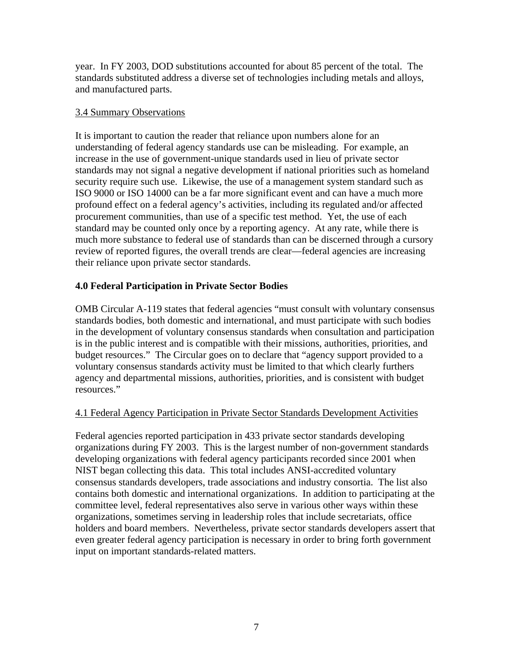<span id="page-11-0"></span>year. In FY 2003, DOD substitutions accounted for about 85 percent of the total. The standards substituted address a diverse set of technologies including metals and alloys, and manufactured parts.

#### 3.4 Summary Observations

It is important to caution the reader that reliance upon numbers alone for an understanding of federal agency standards use can be misleading. For example, an increase in the use of government-unique standards used in lieu of private sector standards may not signal a negative development if national priorities such as homeland security require such use. Likewise, the use of a management system standard such as ISO 9000 or ISO 14000 can be a far more significant event and can have a much more profound effect on a federal agency's activities, including its regulated and/or affected procurement communities, than use of a specific test method. Yet, the use of each standard may be counted only once by a reporting agency. At any rate, while there is much more substance to federal use of standards than can be discerned through a cursory review of reported figures, the overall trends are clear—federal agencies are increasing their reliance upon private sector standards.

#### **4.0 Federal Participation in Private Sector Bodies**

OMB Circular A-119 states that federal agencies "must consult with voluntary consensus standards bodies, both domestic and international, and must participate with such bodies in the development of voluntary consensus standards when consultation and participation is in the public interest and is compatible with their missions, authorities, priorities, and budget resources." The Circular goes on to declare that "agency support provided to a voluntary consensus standards activity must be limited to that which clearly furthers agency and departmental missions, authorities, priorities, and is consistent with budget resources."

#### 4.1 Federal Agency Participation in Private Sector Standards Development Activities

Federal agencies reported participation in 433 private sector standards developing organizations during FY 2003. This is the largest number of non-government standards developing organizations with federal agency participants recorded since 2001 when NIST began collecting this data. This total includes ANSI-accredited voluntary consensus standards developers, trade associations and industry consortia. The list also contains both domestic and international organizations. In addition to participating at the committee level, federal representatives also serve in various other ways within these organizations, sometimes serving in leadership roles that include secretariats, office holders and board members. Nevertheless, private sector standards developers assert that even greater federal agency participation is necessary in order to bring forth government input on important standards-related matters.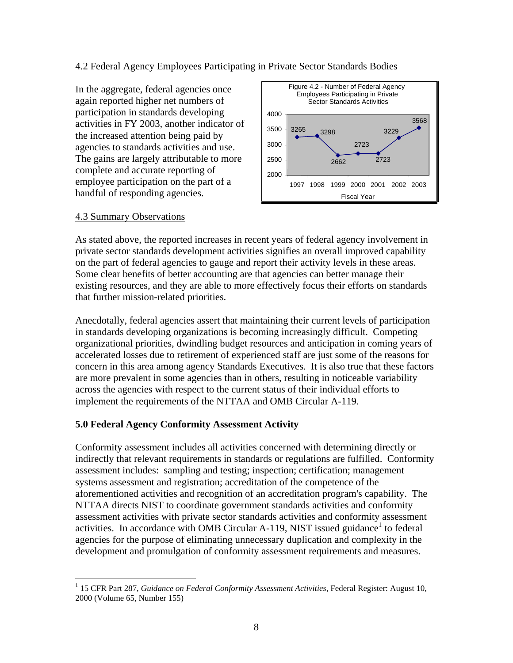#### <span id="page-12-0"></span>4.2 Federal Agency Employees Participating in Private Sector Standards Bodies

In the aggregate, federal agencies once again reported higher net numbers of participation in standards developing activities in FY 2003, another indicator of the increased attention being paid by agencies to standards activities and use. The gains are largely attributable to more complete and accurate reporting of employee participation on the part of a handful of responding agencies.



#### 4.3 Summary Observations

 $\overline{a}$ 

As stated above, the reported increases in recent years of federal agency involvement in private sector standards development activities signifies an overall improved capability on the part of federal agencies to gauge and report their activity levels in these areas. Some clear benefits of better accounting are that agencies can better manage their existing resources, and they are able to more effectively focus their efforts on standards that further mission-related priorities.

Anecdotally, federal agencies assert that maintaining their current levels of participation in standards developing organizations is becoming increasingly difficult. Competing organizational priorities, dwindling budget resources and anticipation in coming years of accelerated losses due to retirement of experienced staff are just some of the reasons for concern in this area among agency Standards Executives. It is also true that these factors are more prevalent in some agencies than in others, resulting in noticeable variability across the agencies with respect to the current status of their individual efforts to implement the requirements of the NTTAA and OMB Circular A-119.

#### **5.0 Federal Agency Conformity Assessment Activity**

Conformity assessment includes all activities concerned with determining directly or indirectly that relevant requirements in standards or regulations are fulfilled. Conformity assessment includes: sampling and testing; inspection; certification; management systems assessment and registration; accreditation of the competence of the aforementioned activities and recognition of an accreditation program's capability. The NTTAA directs NIST to coordinate government standards activities and conformity assessment activities with private sector standards activities and conformity assessment activities. In accordance with OMB Circular A-[1](#page-12-1)19, NIST issued guidance<sup>1</sup> to federal agencies for the purpose of eliminating unnecessary duplication and complexity in the development and promulgation of conformity assessment requirements and measures.

<span id="page-12-1"></span><sup>1</sup> 15 CFR Part 287, *Guidance on Federal Conformity Assessment Activities*, Federal Register: August 10, 2000 (Volume 65, Number 155)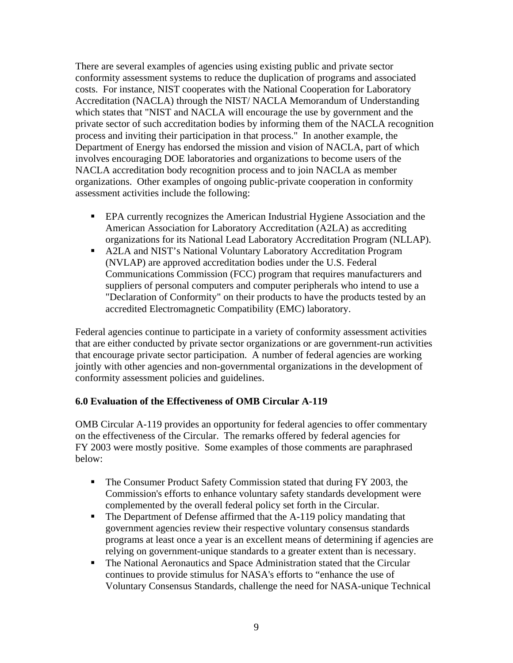<span id="page-13-0"></span>There are several examples of agencies using existing public and private sector conformity assessment systems to reduce the duplication of programs and associated costs. For instance, NIST cooperates with the National Cooperation for Laboratory Accreditation (NACLA) through the NIST/ NACLA Memorandum of Understanding which states that "NIST and NACLA will encourage the use by government and the private sector of such accreditation bodies by informing them of the NACLA recognition process and inviting their participation in that process." In another example, the Department of Energy has endorsed the mission and vision of NACLA, part of which involves encouraging DOE laboratories and organizations to become users of the NACLA accreditation body recognition process and to join NACLA as member organizations. Other examples of ongoing public-private cooperation in conformity assessment activities include the following:

- **EPA currently recognizes the American Industrial Hygiene Association and the** American Association for Laboratory Accreditation (A2LA) as accrediting organizations for its National Lead Laboratory Accreditation Program (NLLAP).
- A2LA and NIST's National Voluntary Laboratory Accreditation Program (NVLAP) are approved accreditation bodies under the U.S. Federal Communications Commission (FCC) program that requires manufacturers and suppliers of personal computers and computer peripherals who intend to use a "Declaration of Conformity" on their products to have the products tested by an accredited Electromagnetic Compatibility (EMC) laboratory.

Federal agencies continue to participate in a variety of conformity assessment activities that are either conducted by private sector organizations or are government-run activities that encourage private sector participation. A number of federal agencies are working jointly with other agencies and non-governmental organizations in the development of conformity assessment policies and guidelines.

#### **6.0 Evaluation of the Effectiveness of OMB Circular A-119**

OMB Circular A-119 provides an opportunity for federal agencies to offer commentary on the effectiveness of the Circular. The remarks offered by federal agencies for FY 2003 were mostly positive. Some examples of those comments are paraphrased below:

- The Consumer Product Safety Commission stated that during FY 2003, the Commission's efforts to enhance voluntary safety standards development were complemented by the overall federal policy set forth in the Circular.
- The Department of Defense affirmed that the A-119 policy mandating that government agencies review their respective voluntary consensus standards programs at least once a year is an excellent means of determining if agencies are relying on government-unique standards to a greater extent than is necessary.
- The National Aeronautics and Space Administration stated that the Circular continues to provide stimulus for NASA's efforts to "enhance the use of Voluntary Consensus Standards, challenge the need for NASA-unique Technical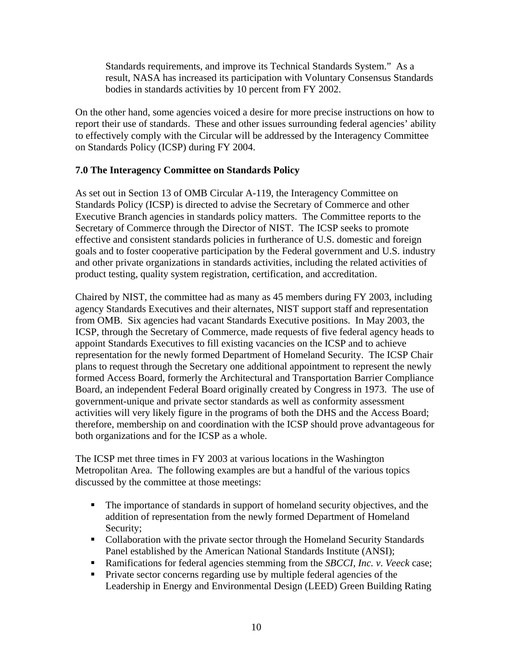<span id="page-14-0"></span>Standards requirements, and improve its Technical Standards System." As a result, NASA has increased its participation with Voluntary Consensus Standards bodies in standards activities by 10 percent from FY 2002.

On the other hand, some agencies voiced a desire for more precise instructions on how to report their use of standards. These and other issues surrounding federal agencies' ability to effectively comply with the Circular will be addressed by the Interagency Committee on Standards Policy (ICSP) during FY 2004.

#### **7.0 The Interagency Committee on Standards Policy**

As set out in Section 13 of OMB Circular A-119, the Interagency Committee on Standards Policy (ICSP) is directed to advise the Secretary of Commerce and other Executive Branch agencies in standards policy matters. The Committee reports to the Secretary of Commerce through the Director of NIST. The ICSP seeks to promote effective and consistent standards policies in furtherance of U.S. domestic and foreign goals and to foster cooperative participation by the Federal government and U.S. industry and other private organizations in standards activities, including the related activities of product testing, quality system registration, certification, and accreditation.

Chaired by NIST, the committee had as many as 45 members during FY 2003, including agency Standards Executives and their alternates, NIST support staff and representation from OMB. Six agencies had vacant Standards Executive positions. In May 2003, the ICSP, through the Secretary of Commerce, made requests of five federal agency heads to appoint Standards Executives to fill existing vacancies on the ICSP and to achieve representation for the newly formed Department of Homeland Security. The ICSP Chair plans to request through the Secretary one additional appointment to represent the newly formed Access Board, formerly the Architectural and Transportation Barrier Compliance Board, an independent Federal Board originally created by Congress in 1973. The use of government-unique and private sector standards as well as conformity assessment activities will very likely figure in the programs of both the DHS and the Access Board; therefore, membership on and coordination with the ICSP should prove advantageous for both organizations and for the ICSP as a whole.

The ICSP met three times in FY 2003 at various locations in the Washington Metropolitan Area. The following examples are but a handful of the various topics discussed by the committee at those meetings:

- The importance of standards in support of homeland security objectives, and the addition of representation from the newly formed Department of Homeland Security;
- Collaboration with the private sector through the Homeland Security Standards Panel established by the American National Standards Institute (ANSI);
- Ramifications for federal agencies stemming from the *SBCCI, Inc. v*. *Veeck* case;
- **Private sector concerns regarding use by multiple federal agencies of the** Leadership in Energy and Environmental Design (LEED) Green Building Rating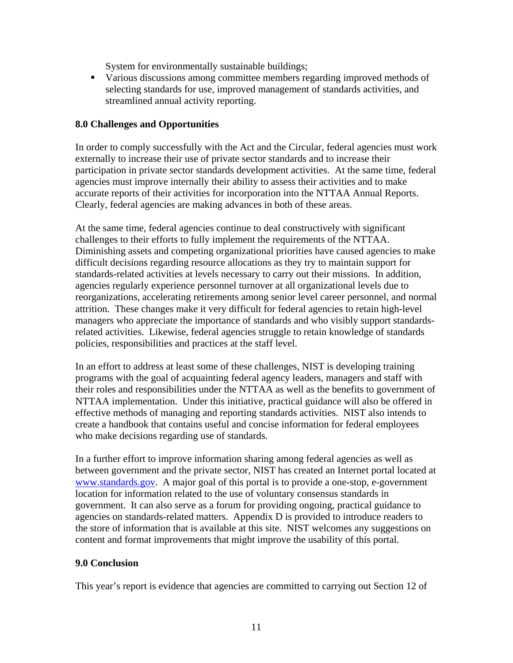System for environmentally sustainable buildings;

<span id="page-15-0"></span> Various discussions among committee members regarding improved methods of selecting standards for use, improved management of standards activities, and streamlined annual activity reporting.

#### **8.0 Challenges and Opportunities**

In order to comply successfully with the Act and the Circular, federal agencies must work externally to increase their use of private sector standards and to increase their participation in private sector standards development activities. At the same time, federal agencies must improve internally their ability to assess their activities and to make accurate reports of their activities for incorporation into the NTTAA Annual Reports. Clearly, federal agencies are making advances in both of these areas.

At the same time, federal agencies continue to deal constructively with significant challenges to their efforts to fully implement the requirements of the NTTAA. Diminishing assets and competing organizational priorities have caused agencies to make difficult decisions regarding resource allocations as they try to maintain support for standards-related activities at levels necessary to carry out their missions. In addition, agencies regularly experience personnel turnover at all organizational levels due to reorganizations, accelerating retirements among senior level career personnel, and normal attrition. These changes make it very difficult for federal agencies to retain high-level managers who appreciate the importance of standards and who visibly support standardsrelated activities. Likewise, federal agencies struggle to retain knowledge of standards policies, responsibilities and practices at the staff level.

In an effort to address at least some of these challenges, NIST is developing training programs with the goal of acquainting federal agency leaders, managers and staff with their roles and responsibilities under the NTTAA as well as the benefits to government of NTTAA implementation. Under this initiative, practical guidance will also be offered in effective methods of managing and reporting standards activities. NIST also intends to create a handbook that contains useful and concise information for federal employees who make decisions regarding use of standards.

In a further effort to improve information sharing among federal agencies as well as between government and the private sector, NIST has created an Internet portal located at [www.standards.gov](http://www.standards.gov/). A major goal of this portal is to provide a one-stop, e-government location for information related to the use of voluntary consensus standards in government. It can also serve as a forum for providing ongoing, practical guidance to agencies on standards-related matters. Appendix D is provided to introduce readers to the store of information that is available at this site. NIST welcomes any suggestions on content and format improvements that might improve the usability of this portal.

#### **9.0 Conclusion**

This year's report is evidence that agencies are committed to carrying out Section 12 of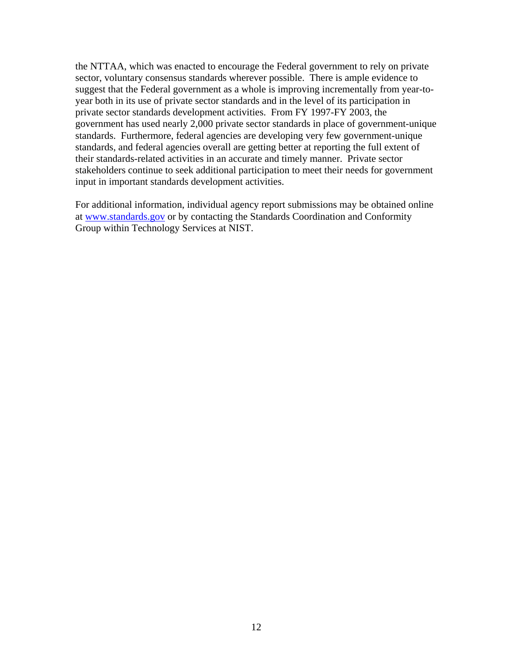the NTTAA, which was enacted to encourage the Federal government to rely on private sector, voluntary consensus standards wherever possible. There is ample evidence to suggest that the Federal government as a whole is improving incrementally from year-toyear both in its use of private sector standards and in the level of its participation in private sector standards development activities. From FY 1997-FY 2003, the government has used nearly 2,000 private sector standards in place of government-unique standards. Furthermore, federal agencies are developing very few government-unique standards, and federal agencies overall are getting better at reporting the full extent of their standards-related activities in an accurate and timely manner. Private sector stakeholders continue to seek additional participation to meet their needs for government input in important standards development activities.

For additional information, individual agency report submissions may be obtained online at [www.standards.gov](http://www.standards.gov/) or by contacting the Standards Coordination and Conformity Group within Technology Services at NIST.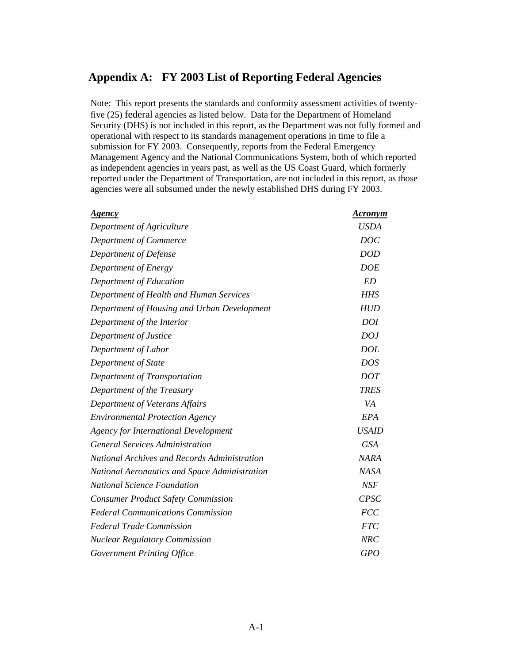### <span id="page-17-0"></span>**Appendix A: FY 2003 List of Reporting Federal Agencies**

Note: This report presents the standards and conformity assessment activities of twentyfive (25) federal agencies as listed below. Data for the Department of Homeland Security (DHS) is not included in this report, as the Department was not fully formed and operational with respect to its standards management operations in time to file a submission for FY 2003. Consequently, reports from the Federal Emergency Management Agency and the National Communications System, both of which reported as independent agencies in years past, as well as the US Coast Guard, which formerly reported under the Department of Transportation, are not included in this report, as those agencies were all subsumed under the newly established DHS during FY 2003.

| Agency                                               | <b>Acronym</b> |
|------------------------------------------------------|----------------|
| Department of Agriculture                            | <b>USDA</b>    |
| Department of Commerce                               | <b>DOC</b>     |
| Department of Defense                                | <b>DOD</b>     |
| Department of Energy                                 | <b>DOE</b>     |
| Department of Education                              | <b>ED</b>      |
| Department of Health and Human Services              | <b>HHS</b>     |
| Department of Housing and Urban Development          | <b>HUD</b>     |
| Department of the Interior                           | <b>DOI</b>     |
| Department of Justice                                | DOJ            |
| Department of Labor                                  | <b>DOL</b>     |
| Department of State                                  | <b>DOS</b>     |
| Department of Transportation                         | <b>DOT</b>     |
| Department of the Treasury                           | <b>TRES</b>    |
| Department of Veterans Affairs                       | VA             |
| <b>Environmental Protection Agency</b>               | EPA            |
| <b>Agency for International Development</b>          | <b>USAID</b>   |
| <b>General Services Administration</b>               | <b>GSA</b>     |
| <b>National Archives and Records Administration</b>  | <b>NARA</b>    |
| <b>National Aeronautics and Space Administration</b> | <b>NASA</b>    |
| <b>National Science Foundation</b>                   | NSF            |
| <b>Consumer Product Safety Commission</b>            | <b>CPSC</b>    |
| <b>Federal Communications Commission</b>             | <b>FCC</b>     |
| <b>Federal Trade Commission</b>                      | <b>FTC</b>     |
| <b>Nuclear Regulatory Commission</b>                 | <b>NRC</b>     |
| Government Printing Office                           | <b>GPO</b>     |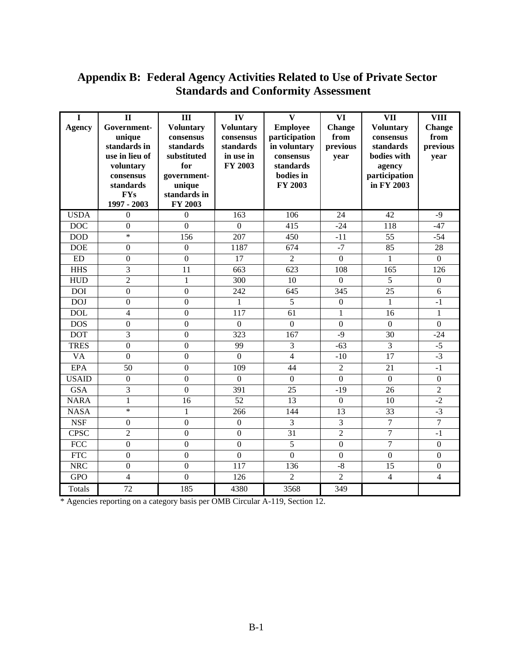## <span id="page-18-0"></span>**Appendix B: Federal Agency Activities Related to Use of Private Sector Standards and Conformity Assessment**

| I<br><b>Agency</b> | $\mathbf{I}$<br>Government-<br>unique<br>standards in<br>use in lieu of<br>voluntary<br>consensus<br>standards<br><b>FYs</b> | III<br><b>Voluntary</b><br>consensus<br>standards<br>substituted<br>for<br>government-<br>unique<br>standards in | IV<br><b>Voluntary</b><br>consensus<br>standards<br>in use in<br>FY 2003 | $\mathbf{V}$<br><b>Employee</b><br>participation<br>in voluntary<br>consensus<br>standards<br>bodies in<br>FY 2003 | <b>VI</b><br>Change<br>from<br>previous<br>year | <b>VII</b><br><b>Voluntary</b><br>consensus<br>standards<br>bodies with<br>agency<br>participation<br>in FY 2003 | <b>VIII</b><br><b>Change</b><br>from<br>previous<br>year |
|--------------------|------------------------------------------------------------------------------------------------------------------------------|------------------------------------------------------------------------------------------------------------------|--------------------------------------------------------------------------|--------------------------------------------------------------------------------------------------------------------|-------------------------------------------------|------------------------------------------------------------------------------------------------------------------|----------------------------------------------------------|
|                    | 1997 - 2003                                                                                                                  | FY 2003                                                                                                          |                                                                          |                                                                                                                    |                                                 |                                                                                                                  |                                                          |
| <b>USDA</b>        | $\boldsymbol{0}$                                                                                                             | $\boldsymbol{0}$                                                                                                 | 163                                                                      | 106                                                                                                                | 24                                              | 42                                                                                                               | $-9$                                                     |
| <b>DOC</b>         | $\mathbf{0}$                                                                                                                 | $\overline{0}$                                                                                                   | $\overline{0}$                                                           | 415                                                                                                                | $-24$                                           | 118                                                                                                              | $-47$                                                    |
| <b>DOD</b>         | $\ast$                                                                                                                       | 156                                                                                                              | 207                                                                      | 450                                                                                                                | $-11$                                           | 55                                                                                                               | $-54$                                                    |
| <b>DOE</b>         | $\mathbf{0}$                                                                                                                 | $\boldsymbol{0}$                                                                                                 | 1187                                                                     | 674                                                                                                                | $-7$                                            | 85                                                                                                               | 28                                                       |
| ED                 | $\mathbf{0}$                                                                                                                 | $\mathbf{0}$                                                                                                     | 17                                                                       | $\overline{2}$                                                                                                     | $\overline{0}$                                  | $\mathbf{1}$                                                                                                     | $\mathbf{0}$                                             |
| <b>HHS</b>         | 3                                                                                                                            | 11                                                                                                               | 663                                                                      | $\overline{623}$                                                                                                   | 108                                             | 165                                                                                                              | 126                                                      |
| <b>HUD</b>         | $\overline{2}$                                                                                                               | $\mathbf{1}$                                                                                                     | 300                                                                      | 10                                                                                                                 | $\Omega$                                        | 5                                                                                                                | $\mathbf{0}$                                             |
| <b>DOI</b>         | $\boldsymbol{0}$                                                                                                             | $\mathbf{0}$                                                                                                     | 242                                                                      | 645                                                                                                                | 345                                             | 25                                                                                                               | 6                                                        |
| <b>DOJ</b>         | $\boldsymbol{0}$                                                                                                             | $\mathbf{0}$                                                                                                     | 1                                                                        | 5                                                                                                                  | $\boldsymbol{0}$                                | 1                                                                                                                | $-1$                                                     |
| <b>DOL</b>         | 4                                                                                                                            | $\mathbf{0}$                                                                                                     | 117                                                                      | $\overline{61}$                                                                                                    | $\mathbf{1}$                                    | 16                                                                                                               | 1                                                        |
| <b>DOS</b>         | $\mathbf{0}$                                                                                                                 | $\mathbf{0}$                                                                                                     | $\overline{0}$                                                           | $\mathbf{0}$                                                                                                       | $\overline{0}$                                  | $\mathbf{0}$                                                                                                     | $\overline{0}$                                           |
| <b>DOT</b>         | 3                                                                                                                            | $\boldsymbol{0}$                                                                                                 | 323                                                                      | 167                                                                                                                | $-9$                                            | 30                                                                                                               | $-24$                                                    |
| <b>TRES</b>        | $\mathbf{0}$                                                                                                                 | $\mathbf{0}$                                                                                                     | 99                                                                       | 3                                                                                                                  | $-63$                                           | 3                                                                                                                | $-5$                                                     |
| <b>VA</b>          | $\overline{0}$                                                                                                               | $\overline{0}$                                                                                                   | $\Omega$                                                                 | $\overline{4}$                                                                                                     | $-10$                                           | 17                                                                                                               | $-3$                                                     |
| <b>EPA</b>         | 50                                                                                                                           | $\overline{0}$                                                                                                   | 109                                                                      | 44                                                                                                                 | $\overline{2}$                                  | 21                                                                                                               | $-1$                                                     |
| <b>USAID</b>       | $\mathbf{0}$                                                                                                                 | $\overline{0}$                                                                                                   | $\overline{0}$                                                           | $\mathbf{0}$                                                                                                       | $\overline{0}$                                  | $\mathbf{0}$                                                                                                     | $\mathbf{0}$                                             |
| <b>GSA</b>         | 3                                                                                                                            | $\mathbf{0}$                                                                                                     | 391                                                                      | 25                                                                                                                 | $-19$                                           | 26                                                                                                               | $\overline{2}$                                           |
| <b>NARA</b>        | $\mathbf{1}$                                                                                                                 | 16                                                                                                               | $\overline{52}$                                                          | 13                                                                                                                 | $\overline{0}$                                  | 10                                                                                                               | $-2$                                                     |
| <b>NASA</b>        | $\ast$                                                                                                                       | $\mathbf{1}$                                                                                                     | 266                                                                      | 144                                                                                                                | 13                                              | 33                                                                                                               | $-3$                                                     |
| <b>NSF</b>         | $\boldsymbol{0}$                                                                                                             | $\boldsymbol{0}$                                                                                                 | $\boldsymbol{0}$                                                         | 3                                                                                                                  | 3                                               | $\boldsymbol{7}$                                                                                                 | $\boldsymbol{7}$                                         |
| <b>CPSC</b>        | $\overline{2}$                                                                                                               | $\boldsymbol{0}$                                                                                                 | $\overline{0}$                                                           | $\overline{31}$                                                                                                    | $\overline{2}$                                  | $\overline{7}$                                                                                                   | $-1$                                                     |
| <b>FCC</b>         | $\mathbf{0}$                                                                                                                 | $\mathbf{0}$                                                                                                     | $\overline{0}$                                                           | 5                                                                                                                  | $\overline{0}$                                  | $\overline{7}$                                                                                                   | $\overline{0}$                                           |
| <b>FTC</b>         | $\overline{0}$                                                                                                               | $\overline{0}$                                                                                                   | $\overline{0}$                                                           | $\overline{0}$                                                                                                     | $\overline{0}$                                  | $\overline{0}$                                                                                                   | $\mathbf{0}$                                             |
| <b>NRC</b>         | $\mathbf{0}$                                                                                                                 | $\mathbf{0}$                                                                                                     | 117                                                                      | 136                                                                                                                | $-\sqrt{8}$                                     | 15                                                                                                               | $\boldsymbol{0}$                                         |
| <b>GPO</b>         | 4                                                                                                                            | $\mathbf{0}$                                                                                                     | 126                                                                      | $\overline{2}$                                                                                                     | $\overline{2}$                                  | 4                                                                                                                | $\overline{4}$                                           |
| Totals             | $\overline{72}$                                                                                                              | $\overline{185}$                                                                                                 | 4380                                                                     | 3568                                                                                                               | 349                                             |                                                                                                                  |                                                          |

\* Agencies reporting on a category basis per OMB Circular A-119, Section 12.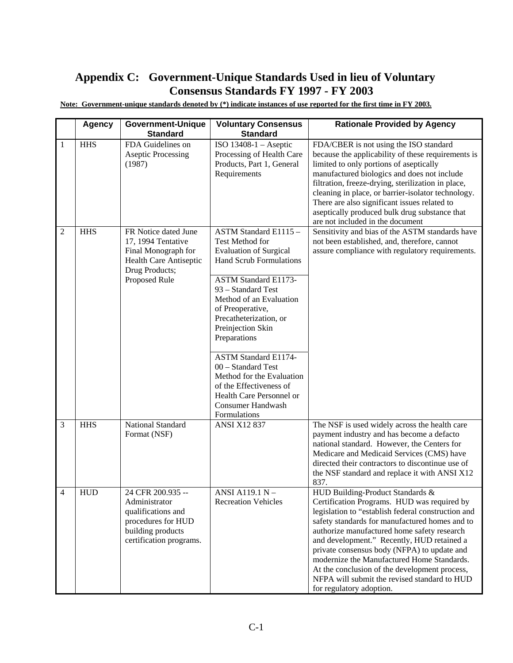## <span id="page-19-0"></span>**Appendix C: Government-Unique Standards Used in lieu of Voluntary Consensus Standards FY 1997 - FY 2003**

|              | <b>Agency</b> | <b>Government-Unique</b><br><b>Standard</b>                                                                                    | <b>Voluntary Consensus</b><br><b>Standard</b>                                                                                                                                                                                                                                                                                                                                                                                                               | <b>Rationale Provided by Agency</b>                                                                                                                                                                                                                                                                                                                                                                                                                                                                            |
|--------------|---------------|--------------------------------------------------------------------------------------------------------------------------------|-------------------------------------------------------------------------------------------------------------------------------------------------------------------------------------------------------------------------------------------------------------------------------------------------------------------------------------------------------------------------------------------------------------------------------------------------------------|----------------------------------------------------------------------------------------------------------------------------------------------------------------------------------------------------------------------------------------------------------------------------------------------------------------------------------------------------------------------------------------------------------------------------------------------------------------------------------------------------------------|
| 1            | <b>HHS</b>    | FDA Guidelines on<br><b>Aseptic Processing</b><br>(1987)                                                                       | ISO $13408-1$ - Aseptic<br>Processing of Health Care<br>Products, Part 1, General<br>Requirements                                                                                                                                                                                                                                                                                                                                                           | FDA/CBER is not using the ISO standard<br>because the applicability of these requirements is<br>limited to only portions of aseptically<br>manufactured biologics and does not include<br>filtration, freeze-drying, sterilization in place,<br>cleaning in place, or barrier-isolator technology.<br>There are also significant issues related to<br>aseptically produced bulk drug substance that<br>are not included in the document                                                                        |
| $\mathbf{2}$ | <b>HHS</b>    | FR Notice dated June<br>17, 1994 Tentative<br>Final Monograph for<br>Health Care Antiseptic<br>Drug Products;<br>Proposed Rule | ASTM Standard E1115-<br>Test Method for<br><b>Evaluation of Surgical</b><br><b>Hand Scrub Formulations</b><br><b>ASTM Standard E1173-</b><br>93 – Standard Test<br>Method of an Evaluation<br>of Preoperative,<br>Precatheterization, or<br>Preinjection Skin<br>Preparations<br>ASTM Standard E1174-<br>00 - Standard Test<br>Method for the Evaluation<br>of the Effectiveness of<br>Health Care Personnel or<br><b>Consumer Handwash</b><br>Formulations | Sensitivity and bias of the ASTM standards have<br>not been established, and, therefore, cannot<br>assure compliance with regulatory requirements.                                                                                                                                                                                                                                                                                                                                                             |
| 3            | <b>HHS</b>    | National Standard<br>Format (NSF)                                                                                              | <b>ANSI X12 837</b>                                                                                                                                                                                                                                                                                                                                                                                                                                         | The NSF is used widely across the health care<br>payment industry and has become a defacto<br>national standard. However, the Centers for<br>Medicare and Medicaid Services (CMS) have<br>directed their contractors to discontinue use of<br>the NSF standard and replace it with ANSI X12<br>837.                                                                                                                                                                                                            |
| $\Delta$     | <b>HUD</b>    | 24 CFR 200.935<br>Administrator<br>qualifications and<br>procedures for HUD<br>building products<br>certification programs.    | <b>ANSI A119.1 N</b><br><b>Recreation Vehicles</b>                                                                                                                                                                                                                                                                                                                                                                                                          | HUD Building-Product Standards &<br>Certification Programs. HUD was required by<br>legislation to "establish federal construction and<br>safety standards for manufactured homes and to<br>authorize manufactured home safety research<br>and development." Recently, HUD retained a<br>private consensus body (NFPA) to update and<br>modernize the Manufactured Home Standards.<br>At the conclusion of the development process,<br>NFPA will submit the revised standard to HUD<br>for regulatory adoption. |

**Note: Government-unique standards denoted by (\*) indicate instances of use reported for the first time in FY 2003.**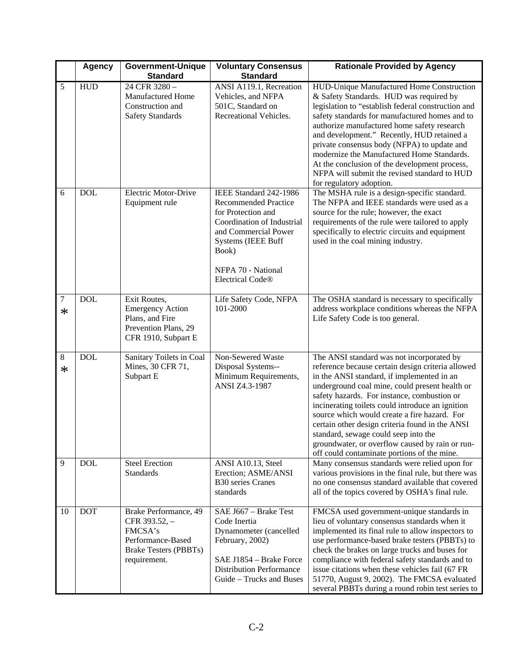|             | <b>Agency</b> | <b>Government-Unique</b>                                                                                               | <b>Voluntary Consensus</b>                                                                                                                                                                                        | <b>Rationale Provided by Agency</b>                                                                                                                                                                                                                                                                                                                                                                                                                                                                                                            |
|-------------|---------------|------------------------------------------------------------------------------------------------------------------------|-------------------------------------------------------------------------------------------------------------------------------------------------------------------------------------------------------------------|------------------------------------------------------------------------------------------------------------------------------------------------------------------------------------------------------------------------------------------------------------------------------------------------------------------------------------------------------------------------------------------------------------------------------------------------------------------------------------------------------------------------------------------------|
|             |               | <b>Standard</b>                                                                                                        | <b>Standard</b>                                                                                                                                                                                                   |                                                                                                                                                                                                                                                                                                                                                                                                                                                                                                                                                |
| 5           | <b>HUD</b>    | 24 CFR 3280 -<br>Manufactured Home<br>Construction and<br><b>Safety Standards</b>                                      | ANSI A119.1, Recreation<br>Vehicles, and NFPA<br>501C, Standard on<br>Recreational Vehicles.                                                                                                                      | HUD-Unique Manufactured Home Construction<br>& Safety Standards. HUD was required by<br>legislation to "establish federal construction and<br>safety standards for manufactured homes and to<br>authorize manufactured home safety research<br>and development." Recently, HUD retained a<br>private consensus body (NFPA) to update and<br>modernize the Manufactured Home Standards.<br>At the conclusion of the development process,<br>NFPA will submit the revised standard to HUD<br>for regulatory adoption.                            |
| 6           | <b>DOL</b>    | Electric Motor-Drive<br>Equipment rule                                                                                 | IEEE Standard 242-1986<br><b>Recommended Practice</b><br>for Protection and<br>Coordination of Industrial<br>and Commercial Power<br>Systems (IEEE Buff<br>Book)<br>NFPA 70 - National<br><b>Electrical Code®</b> | The MSHA rule is a design-specific standard.<br>The NFPA and IEEE standards were used as a<br>source for the rule; however, the exact<br>requirements of the rule were tailored to apply<br>specifically to electric circuits and equipment<br>used in the coal mining industry.                                                                                                                                                                                                                                                               |
| 7<br>∗      | <b>DOL</b>    | Exit Routes,<br><b>Emergency Action</b><br>Plans, and Fire<br>Prevention Plans, 29<br>CFR 1910, Subpart E              | Life Safety Code, NFPA<br>101-2000                                                                                                                                                                                | The OSHA standard is necessary to specifically<br>address workplace conditions whereas the NFPA<br>Life Safety Code is too general.                                                                                                                                                                                                                                                                                                                                                                                                            |
| 8<br>$\ast$ | <b>DOL</b>    | Sanitary Toilets in Coal<br>Mines, 30 CFR 71,<br>Subpart E                                                             | Non-Sewered Waste<br>Disposal Systems--<br>Minimum Requirements,<br>ANSI Z4.3-1987                                                                                                                                | The ANSI standard was not incorporated by<br>reference because certain design criteria allowed<br>in the ANSI standard, if implemented in an<br>underground coal mine, could present health or<br>safety hazards. For instance, combustion or<br>incinerating toilets could introduce an ignition<br>source which would create a fire hazard. For<br>certain other design criteria found in the ANSI<br>standard, sewage could seep into the<br>groundwater, or overflow caused by rain or run-<br>off could contaminate portions of the mine. |
| 9           | <b>DOL</b>    | <b>Steel Erection</b><br><b>Standards</b>                                                                              | ANSI A10.13, Steel<br>Erection; ASME/ANSI<br><b>B30</b> series Cranes<br>standards                                                                                                                                | Many consensus standards were relied upon for<br>various provisions in the final rule, but there was<br>no one consensus standard available that covered<br>all of the topics covered by OSHA's final rule.                                                                                                                                                                                                                                                                                                                                    |
| 10          | <b>DOT</b>    | Brake Performance, 49<br>CFR 393.52, -<br>FMCSA's<br>Performance-Based<br><b>Brake Testers (PBBTs)</b><br>requirement. | SAE J667 - Brake Test<br>Code Inertia<br>Dynamometer (cancelled<br>February, 2002)<br>SAE J1854 - Brake Force<br><b>Distribution Performance</b><br>Guide - Trucks and Buses                                      | FMCSA used government-unique standards in<br>lieu of voluntary consensus standards when it<br>implemented its final rule to allow inspectors to<br>use performance-based brake testers (PBBTs) to<br>check the brakes on large trucks and buses for<br>compliance with federal safety standards and to<br>issue citations when these vehicles fail (67 FR<br>51770, August 9, 2002). The FMCSA evaluated<br>several PBBTs during a round robin test series to                                                                                  |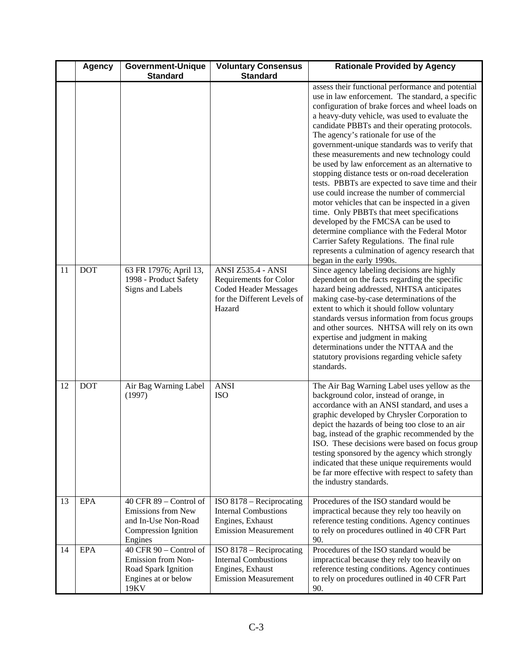|          | <b>Agency</b>            | <b>Government-Unique</b>                                                                                                                                                                                             | <b>Voluntary Consensus</b>                                                                                                                                                                                               | <b>Rationale Provided by Agency</b>                                                                                                                                                                                                                                                                                                                                                                                                                                                                                                                                                                                                                                                                                                                                                                                                                                                                                                     |
|----------|--------------------------|----------------------------------------------------------------------------------------------------------------------------------------------------------------------------------------------------------------------|--------------------------------------------------------------------------------------------------------------------------------------------------------------------------------------------------------------------------|-----------------------------------------------------------------------------------------------------------------------------------------------------------------------------------------------------------------------------------------------------------------------------------------------------------------------------------------------------------------------------------------------------------------------------------------------------------------------------------------------------------------------------------------------------------------------------------------------------------------------------------------------------------------------------------------------------------------------------------------------------------------------------------------------------------------------------------------------------------------------------------------------------------------------------------------|
|          |                          | <b>Standard</b>                                                                                                                                                                                                      | <b>Standard</b>                                                                                                                                                                                                          |                                                                                                                                                                                                                                                                                                                                                                                                                                                                                                                                                                                                                                                                                                                                                                                                                                                                                                                                         |
|          |                          |                                                                                                                                                                                                                      |                                                                                                                                                                                                                          | assess their functional performance and potential<br>use in law enforcement. The standard, a specific<br>configuration of brake forces and wheel loads on<br>a heavy-duty vehicle, was used to evaluate the<br>candidate PBBTs and their operating protocols.<br>The agency's rationale for use of the<br>government-unique standards was to verify that<br>these measurements and new technology could<br>be used by law enforcement as an alternative to<br>stopping distance tests or on-road deceleration<br>tests. PBBTs are expected to save time and their<br>use could increase the number of commercial<br>motor vehicles that can be inspected in a given<br>time. Only PBBTs that meet specifications<br>developed by the FMCSA can be used to<br>determine compliance with the Federal Motor<br>Carrier Safety Regulations. The final rule<br>represents a culmination of agency research that<br>began in the early 1990s. |
| 11       | <b>DOT</b>               | 63 FR 17976; April 13,<br>1998 - Product Safety<br>Signs and Labels                                                                                                                                                  | ANSI Z535.4 - ANSI<br>Requirements for Color<br><b>Coded Header Messages</b><br>for the Different Levels of<br>Hazard                                                                                                    | Since agency labeling decisions are highly<br>dependent on the facts regarding the specific<br>hazard being addressed, NHTSA anticipates<br>making case-by-case determinations of the<br>extent to which it should follow voluntary<br>standards versus information from focus groups<br>and other sources. NHTSA will rely on its own<br>expertise and judgment in making<br>determinations under the NTTAA and the<br>statutory provisions regarding vehicle safety<br>standards.                                                                                                                                                                                                                                                                                                                                                                                                                                                     |
| 12       | <b>DOT</b>               | Air Bag Warning Label<br>(1997)                                                                                                                                                                                      | <b>ANSI</b><br><b>ISO</b>                                                                                                                                                                                                | The Air Bag Warning Label uses yellow as the<br>background color, instead of orange, in<br>accordance with an ANSI standard, and uses a<br>graphic developed by Chrysler Corporation to<br>depict the hazards of being too close to an air<br>bag, instead of the graphic recommended by the<br>ISO. These decisions were based on focus group<br>testing sponsored by the agency which strongly<br>indicated that these unique requirements would<br>be far more effective with respect to safety than<br>the industry standards.                                                                                                                                                                                                                                                                                                                                                                                                      |
| 13<br>14 | <b>EPA</b><br><b>EPA</b> | $40$ CFR $89$ – Control of<br>Emissions from New<br>and In-Use Non-Road<br>Compression Ignition<br>Engines<br>$40$ CFR $90$ – Control of<br>Emission from Non-<br>Road Spark Ignition<br>Engines at or below<br>19KV | ISO 8178 - Reciprocating<br><b>Internal Combustions</b><br>Engines, Exhaust<br><b>Emission Measurement</b><br>ISO 8178 – Reciprocating<br><b>Internal Combustions</b><br>Engines, Exhaust<br><b>Emission Measurement</b> | Procedures of the ISO standard would be<br>impractical because they rely too heavily on<br>reference testing conditions. Agency continues<br>to rely on procedures outlined in 40 CFR Part<br>90.<br>Procedures of the ISO standard would be<br>impractical because they rely too heavily on<br>reference testing conditions. Agency continues<br>to rely on procedures outlined in 40 CFR Part<br>90.                                                                                                                                                                                                                                                                                                                                                                                                                                                                                                                                  |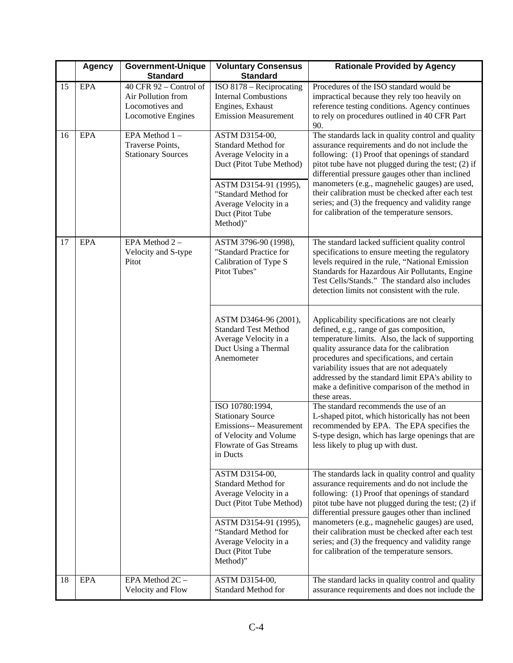|    | <b>Agency</b> | <b>Government-Unique</b><br><b>Standard</b>                                               | <b>Voluntary Consensus</b><br><b>Standard</b>                                                                                                         | <b>Rationale Provided by Agency</b>                                                                                                                                                                                                                                                                                                                                                                         |
|----|---------------|-------------------------------------------------------------------------------------------|-------------------------------------------------------------------------------------------------------------------------------------------------------|-------------------------------------------------------------------------------------------------------------------------------------------------------------------------------------------------------------------------------------------------------------------------------------------------------------------------------------------------------------------------------------------------------------|
| 15 | <b>EPA</b>    | $40$ CFR $92$ – Control of<br>Air Pollution from<br>Locomotives and<br>Locomotive Engines | ISO 8178 – Reciprocating<br><b>Internal Combustions</b><br>Engines, Exhaust<br><b>Emission Measurement</b>                                            | Procedures of the ISO standard would be<br>impractical because they rely too heavily on<br>reference testing conditions. Agency continues<br>to rely on procedures outlined in 40 CFR Part<br>90.                                                                                                                                                                                                           |
| 16 | <b>EPA</b>    | EPA Method 1-<br>Traverse Points,<br><b>Stationary Sources</b>                            | ASTM D3154-00,<br><b>Standard Method for</b><br>Average Velocity in a<br>Duct (Pitot Tube Method)<br>ASTM D3154-91 (1995),                            | The standards lack in quality control and quality<br>assurance requirements and do not include the<br>following: (1) Proof that openings of standard<br>pitot tube have not plugged during the test; (2) if<br>differential pressure gauges other than inclined<br>manometers (e.g., magnehelic gauges) are used,                                                                                           |
|    |               |                                                                                           | "Standard Method for<br>Average Velocity in a<br>Duct (Pitot Tube<br>Method)"                                                                         | their calibration must be checked after each test<br>series; and (3) the frequency and validity range<br>for calibration of the temperature sensors.                                                                                                                                                                                                                                                        |
| 17 | <b>EPA</b>    | EPA Method 2-<br>Velocity and S-type<br>Pitot                                             | ASTM 3796-90 (1998),<br>"Standard Practice for<br>Calibration of Type S<br>Pitot Tubes"                                                               | The standard lacked sufficient quality control<br>specifications to ensure meeting the regulatory<br>levels required in the rule, "National Emission<br>Standards for Hazardous Air Pollutants, Engine<br>Test Cells/Stands." The standard also includes<br>detection limits not consistent with the rule.                                                                                                  |
|    |               |                                                                                           | ASTM D3464-96 (2001),<br><b>Standard Test Method</b><br>Average Velocity in a<br>Duct Using a Thermal<br>Anemometer                                   | Applicability specifications are not clearly<br>defined, e.g., range of gas composition,<br>temperature limits. Also, the lack of supporting<br>quality assurance data for the calibration<br>procedures and specifications, and certain<br>variability issues that are not adequately<br>addressed by the standard limit EPA's ability to<br>make a definitive comparison of the method in<br>these areas. |
|    |               |                                                                                           | ISO 10780:1994,<br><b>Stationary Source</b><br><b>Emissions-- Measurement</b><br>of Velocity and Volume<br><b>Flowrate of Gas Streams</b><br>in Ducts | The standard recommends the use of an<br>L-shaped pitot, which historically has not been<br>recommended by EPA. The EPA specifies the<br>S-type design, which has large openings that are<br>less likely to plug up with dust.                                                                                                                                                                              |
|    |               |                                                                                           | ASTM D3154-00,<br><b>Standard Method for</b><br>Average Velocity in a<br>Duct (Pitot Tube Method)                                                     | The standards lack in quality control and quality<br>assurance requirements and do not include the<br>following: (1) Proof that openings of standard<br>pitot tube have not plugged during the test; (2) if<br>differential pressure gauges other than inclined                                                                                                                                             |
|    |               |                                                                                           | ASTM D3154-91 (1995),<br>"Standard Method for<br>Average Velocity in a<br>Duct (Pitot Tube<br>Method)"                                                | manometers (e.g., magnehelic gauges) are used,<br>their calibration must be checked after each test<br>series; and (3) the frequency and validity range<br>for calibration of the temperature sensors.                                                                                                                                                                                                      |
| 18 | <b>EPA</b>    | EPA Method 2C -<br>Velocity and Flow                                                      | ASTM D3154-00,<br><b>Standard Method for</b>                                                                                                          | The standard lacks in quality control and quality<br>assurance requirements and does not include the                                                                                                                                                                                                                                                                                                        |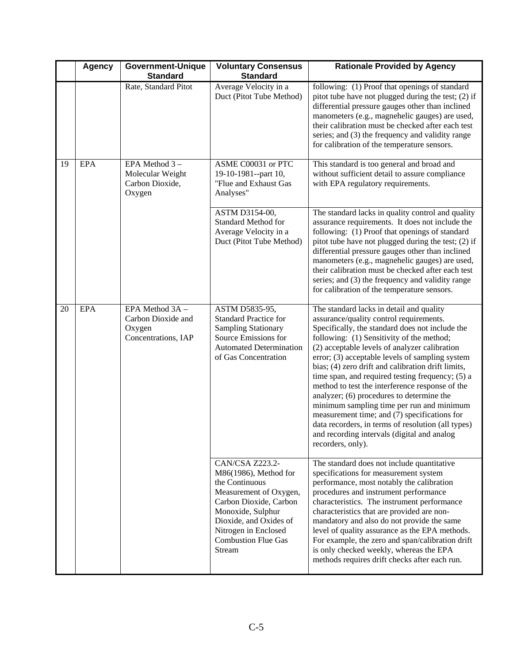|    | <b>Agency</b> | <b>Government-Unique</b><br><b>Standard</b>                            | <b>Voluntary Consensus</b><br><b>Standard</b>                                                                                                                                                                                 | <b>Rationale Provided by Agency</b>                                                                                                                                                                                                                                                                                                                                                                                                                                                                                                                                                                                                                                                                                      |
|----|---------------|------------------------------------------------------------------------|-------------------------------------------------------------------------------------------------------------------------------------------------------------------------------------------------------------------------------|--------------------------------------------------------------------------------------------------------------------------------------------------------------------------------------------------------------------------------------------------------------------------------------------------------------------------------------------------------------------------------------------------------------------------------------------------------------------------------------------------------------------------------------------------------------------------------------------------------------------------------------------------------------------------------------------------------------------------|
|    |               | Rate, Standard Pitot                                                   | Average Velocity in a<br>Duct (Pitot Tube Method)                                                                                                                                                                             | following: (1) Proof that openings of standard<br>pitot tube have not plugged during the test; (2) if<br>differential pressure gauges other than inclined<br>manometers (e.g., magnehelic gauges) are used,<br>their calibration must be checked after each test<br>series; and (3) the frequency and validity range<br>for calibration of the temperature sensors.                                                                                                                                                                                                                                                                                                                                                      |
| 19 | <b>EPA</b>    | EPA Method 3-<br>Molecular Weight<br>Carbon Dioxide,<br>Oxygen         | ASME C00031 or PTC<br>19-10-1981--part 10,<br>"Flue and Exhaust Gas<br>Analyses"                                                                                                                                              | This standard is too general and broad and<br>without sufficient detail to assure compliance<br>with EPA regulatory requirements.                                                                                                                                                                                                                                                                                                                                                                                                                                                                                                                                                                                        |
|    |               |                                                                        | ASTM D3154-00,<br><b>Standard Method for</b><br>Average Velocity in a<br>Duct (Pitot Tube Method)                                                                                                                             | The standard lacks in quality control and quality<br>assurance requirements. It does not include the<br>following: (1) Proof that openings of standard<br>pitot tube have not plugged during the test; (2) if<br>differential pressure gauges other than inclined<br>manometers (e.g., magnehelic gauges) are used,<br>their calibration must be checked after each test<br>series; and (3) the frequency and validity range<br>for calibration of the temperature sensors.                                                                                                                                                                                                                                              |
| 20 | <b>EPA</b>    | EPA Method 3A -<br>Carbon Dioxide and<br>Oxygen<br>Concentrations, IAP | ASTM D5835-95,<br><b>Standard Practice for</b><br><b>Sampling Stationary</b><br>Source Emissions for<br><b>Automated Determination</b><br>of Gas Concentration                                                                | The standard lacks in detail and quality<br>assurance/quality control requirements.<br>Specifically, the standard does not include the<br>following: (1) Sensitivity of the method;<br>(2) acceptable levels of analyzer calibration<br>error; (3) acceptable levels of sampling system<br>bias; (4) zero drift and calibration drift limits,<br>time span, and required testing frequency; (5) a<br>method to test the interference response of the<br>analyzer; (6) procedures to determine the<br>minimum sampling time per run and minimum<br>measurement time; and (7) specifications for<br>data recorders, in terms of resolution (all types)<br>and recording intervals (digital and analog<br>recorders, only). |
|    |               |                                                                        | CAN/CSA Z223.2-<br>M86(1986), Method for<br>the Continuous<br>Measurement of Oxygen,<br>Carbon Dioxide, Carbon<br>Monoxide, Sulphur<br>Dioxide, and Oxides of<br>Nitrogen in Enclosed<br><b>Combustion Flue Gas</b><br>Stream | The standard does not include quantitative<br>specifications for measurement system<br>performance, most notably the calibration<br>procedures and instrument performance<br>characteristics. The instrument performance<br>characteristics that are provided are non-<br>mandatory and also do not provide the same<br>level of quality assurance as the EPA methods.<br>For example, the zero and span/calibration drift<br>is only checked weekly, whereas the EPA<br>methods requires drift checks after each run.                                                                                                                                                                                                   |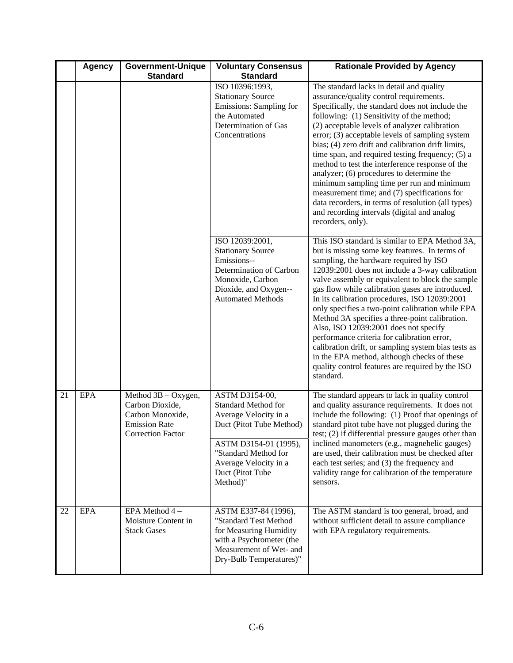|    | <b>Agency</b> | <b>Government-Unique</b><br><b>Standard</b>                                                                | <b>Voluntary Consensus</b><br><b>Standard</b>                                                                                                                                                               | <b>Rationale Provided by Agency</b>                                                                                                                                                                                                                                                                                                                                                                                                                                                                                                                                                                                                                                                                                        |
|----|---------------|------------------------------------------------------------------------------------------------------------|-------------------------------------------------------------------------------------------------------------------------------------------------------------------------------------------------------------|----------------------------------------------------------------------------------------------------------------------------------------------------------------------------------------------------------------------------------------------------------------------------------------------------------------------------------------------------------------------------------------------------------------------------------------------------------------------------------------------------------------------------------------------------------------------------------------------------------------------------------------------------------------------------------------------------------------------------|
|    |               |                                                                                                            | ISO 10396:1993,<br><b>Stationary Source</b><br>Emissions: Sampling for<br>the Automated<br>Determination of Gas<br>Concentrations                                                                           | The standard lacks in detail and quality<br>assurance/quality control requirements.<br>Specifically, the standard does not include the<br>following: (1) Sensitivity of the method;<br>(2) acceptable levels of analyzer calibration<br>error; (3) acceptable levels of sampling system<br>bias; (4) zero drift and calibration drift limits,<br>time span, and required testing frequency; (5) a<br>method to test the interference response of the<br>analyzer; (6) procedures to determine the<br>minimum sampling time per run and minimum<br>measurement time; and (7) specifications for<br>data recorders, in terms of resolution (all types)<br>and recording intervals (digital and analog<br>recorders, only).   |
|    |               |                                                                                                            | ISO 12039:2001,<br><b>Stationary Source</b><br>Emissions--<br>Determination of Carbon<br>Monoxide, Carbon<br>Dioxide, and Oxygen--<br><b>Automated Methods</b>                                              | This ISO standard is similar to EPA Method 3A,<br>but is missing some key features. In terms of<br>sampling, the hardware required by ISO<br>12039:2001 does not include a 3-way calibration<br>valve assembly or equivalent to block the sample<br>gas flow while calibration gases are introduced.<br>In its calibration procedures, ISO 12039:2001<br>only specifies a two-point calibration while EPA<br>Method 3A specifies a three-point calibration.<br>Also, ISO 12039:2001 does not specify<br>performance criteria for calibration error,<br>calibration drift, or sampling system bias tests as<br>in the EPA method, although checks of these<br>quality control features are required by the ISO<br>standard. |
| 21 | <b>EPA</b>    | Method $3B - Oxygen$ ,<br>Carbon Dioxide,<br>Carbon Monoxide,<br><b>Emission Rate</b><br>Correction Factor | ASTM D3154-00,<br><b>Standard Method for</b><br>Average Velocity in a<br>Duct (Pitot Tube Method)<br>ASTM D3154-91 (1995),<br>"Standard Method for<br>Average Velocity in a<br>Duct (Pitot Tube<br>Method)" | The standard appears to lack in quality control<br>and quality assurance requirements. It does not<br>include the following: (1) Proof that openings of<br>standard pitot tube have not plugged during the<br>test; (2) if differential pressure gauges other than<br>inclined manometers (e.g., magnehelic gauges)<br>are used, their calibration must be checked after<br>each test series; and (3) the frequency and<br>validity range for calibration of the temperature<br>sensors.                                                                                                                                                                                                                                   |
| 22 | <b>EPA</b>    | EPA Method 4-<br>Moisture Content in<br><b>Stack Gases</b>                                                 | ASTM E337-84 (1996),<br>"Standard Test Method<br>for Measuring Humidity<br>with a Psychrometer (the<br>Measurement of Wet- and<br>Dry-Bulb Temperatures)"                                                   | The ASTM standard is too general, broad, and<br>without sufficient detail to assure compliance<br>with EPA regulatory requirements.                                                                                                                                                                                                                                                                                                                                                                                                                                                                                                                                                                                        |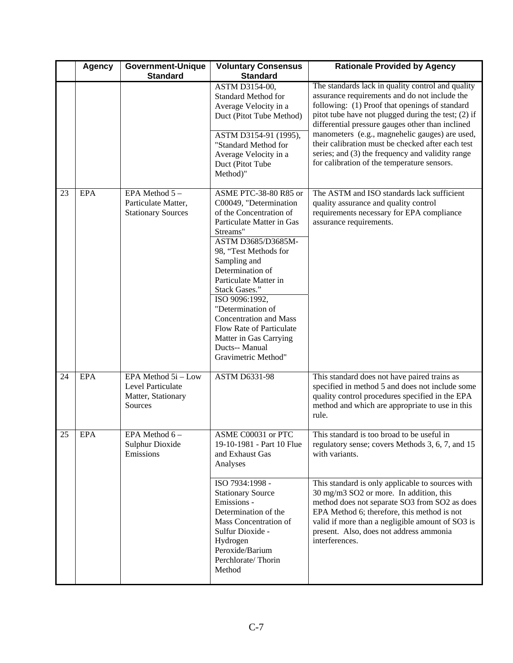|    | <b>Agency</b> | <b>Government-Unique</b><br><b>Standard</b>                               | <b>Voluntary Consensus</b><br><b>Standard</b>                                                                                                                                                                                                                                                                                                                                                                           | <b>Rationale Provided by Agency</b>                                                                                                                                                                                                                                                                               |
|----|---------------|---------------------------------------------------------------------------|-------------------------------------------------------------------------------------------------------------------------------------------------------------------------------------------------------------------------------------------------------------------------------------------------------------------------------------------------------------------------------------------------------------------------|-------------------------------------------------------------------------------------------------------------------------------------------------------------------------------------------------------------------------------------------------------------------------------------------------------------------|
|    |               |                                                                           | ASTM D3154-00,<br><b>Standard Method for</b><br>Average Velocity in a<br>Duct (Pitot Tube Method)<br>ASTM D3154-91 (1995),                                                                                                                                                                                                                                                                                              | The standards lack in quality control and quality<br>assurance requirements and do not include the<br>following: (1) Proof that openings of standard<br>pitot tube have not plugged during the test; (2) if<br>differential pressure gauges other than inclined<br>manometers (e.g., magnehelic gauges) are used, |
|    |               |                                                                           | "Standard Method for<br>Average Velocity in a<br>Duct (Pitot Tube<br>Method)"                                                                                                                                                                                                                                                                                                                                           | their calibration must be checked after each test<br>series; and (3) the frequency and validity range<br>for calibration of the temperature sensors.                                                                                                                                                              |
| 23 | <b>EPA</b>    | EPA Method 5-<br>Particulate Matter,<br><b>Stationary Sources</b>         | ASME PTC-38-80 R85 or<br>C00049, "Determination<br>of the Concentration of<br>Particulate Matter in Gas<br>Streams"<br>ASTM D3685/D3685M-<br>98, "Test Methods for<br>Sampling and<br>Determination of<br>Particulate Matter in<br>Stack Gases."<br>ISO 9096:1992,<br>"Determination of<br><b>Concentration and Mass</b><br>Flow Rate of Particulate<br>Matter in Gas Carrying<br>Ducts-- Manual<br>Gravimetric Method" | The ASTM and ISO standards lack sufficient<br>quality assurance and quality control<br>requirements necessary for EPA compliance<br>assurance requirements.                                                                                                                                                       |
| 24 | <b>EPA</b>    | EPA Method 5i - Low<br>Level Particulate<br>Matter, Stationary<br>Sources | <b>ASTM D6331-98</b>                                                                                                                                                                                                                                                                                                                                                                                                    | This standard does not have paired trains as<br>specified in method 5 and does not include some<br>quality control procedures specified in the EPA<br>method and which are appropriate to use in this<br>rule.                                                                                                    |
| 25 | EPA           | EPA Method 6-<br><b>Sulphur Dioxide</b><br>Emissions                      | ASME C00031 or PTC<br>19-10-1981 - Part 10 Flue<br>and Exhaust Gas<br>Analyses                                                                                                                                                                                                                                                                                                                                          | This standard is too broad to be useful in<br>regulatory sense; covers Methods 3, 6, 7, and 15<br>with variants.                                                                                                                                                                                                  |
|    |               |                                                                           | ISO 7934:1998 -<br><b>Stationary Source</b><br>Emissions -<br>Determination of the<br>Mass Concentration of<br>Sulfur Dioxide -<br>Hydrogen<br>Peroxide/Barium<br>Perchlorate/Thorin<br>Method                                                                                                                                                                                                                          | This standard is only applicable to sources with<br>30 mg/m3 SO2 or more. In addition, this<br>method does not separate SO3 from SO2 as does<br>EPA Method 6; therefore, this method is not<br>valid if more than a negligible amount of SO3 is<br>present. Also, does not address ammonia<br>interferences.      |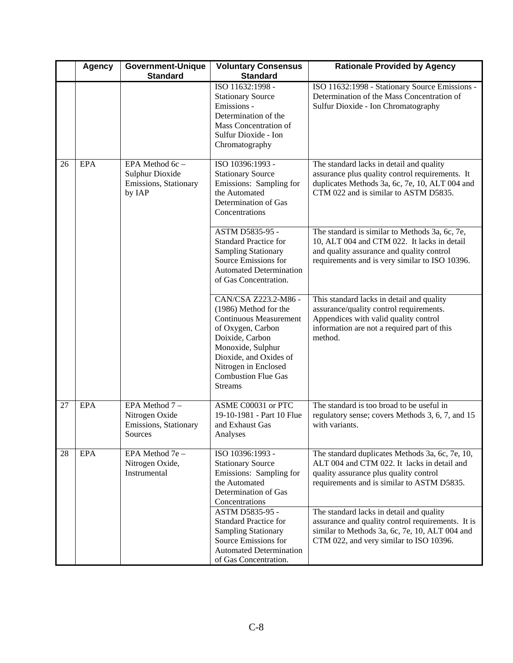|    | <b>Agency</b> | <b>Government-Unique</b><br><b>Standard</b>                           | <b>Voluntary Consensus</b><br><b>Standard</b>                                                                                                                                                                                                 | <b>Rationale Provided by Agency</b>                                                                                                                                                          |
|----|---------------|-----------------------------------------------------------------------|-----------------------------------------------------------------------------------------------------------------------------------------------------------------------------------------------------------------------------------------------|----------------------------------------------------------------------------------------------------------------------------------------------------------------------------------------------|
|    |               |                                                                       | ISO 11632:1998 -<br><b>Stationary Source</b><br>Emissions -<br>Determination of the<br>Mass Concentration of<br>Sulfur Dioxide - Ion<br>Chromatography                                                                                        | ISO 11632:1998 - Stationary Source Emissions -<br>Determination of the Mass Concentration of<br>Sulfur Dioxide - Ion Chromatography                                                          |
| 26 | <b>EPA</b>    | EPA Method 6c -<br>Sulphur Dioxide<br>Emissions, Stationary<br>by IAP | ISO 10396:1993 -<br><b>Stationary Source</b><br>Emissions: Sampling for<br>the Automated<br>Determination of Gas<br>Concentrations                                                                                                            | The standard lacks in detail and quality<br>assurance plus quality control requirements. It<br>duplicates Methods 3a, 6c, 7e, 10, ALT 004 and<br>CTM 022 and is similar to ASTM D5835.       |
|    |               |                                                                       | ASTM D5835-95 -<br><b>Standard Practice for</b><br><b>Sampling Stationary</b><br>Source Emissions for<br><b>Automated Determination</b><br>of Gas Concentration.                                                                              | The standard is similar to Methods 3a, 6c, 7e,<br>10, ALT 004 and CTM 022. It lacks in detail<br>and quality assurance and quality control<br>requirements and is very similar to ISO 10396. |
|    |               |                                                                       | CAN/CSA Z223.2-M86 -<br>(1986) Method for the<br><b>Continuous Measurement</b><br>of Oxygen, Carbon<br>Doixide, Carbon<br>Monoxide, Sulphur<br>Dioxide, and Oxides of<br>Nitrogen in Enclosed<br><b>Combustion Flue Gas</b><br><b>Streams</b> | This standard lacks in detail and quality<br>assurance/quality control requirements.<br>Appendices with valid quality control<br>information are not a required part of this<br>method.      |
| 27 | <b>EPA</b>    | EPA Method 7-<br>Nitrogen Oxide<br>Emissions, Stationary<br>Sources   | ASME C00031 or PTC<br>19-10-1981 - Part 10 Flue<br>and Exhaust Gas<br>Analyses                                                                                                                                                                | The standard is too broad to be useful in<br>regulatory sense; covers Methods 3, 6, 7, and 15<br>with variants.                                                                              |
| 28 | <b>EPA</b>    | EPA Method 7e -<br>Nitrogen Oxide,<br>Instrumental                    | ISO 10396:1993 -<br><b>Stationary Source</b><br>Emissions: Sampling for<br>the Automated<br>Determination of Gas<br>Concentrations                                                                                                            | The standard duplicates Methods 3a, 6c, 7e, 10,<br>ALT 004 and CTM 022. It lacks in detail and<br>quality assurance plus quality control<br>requirements and is similar to ASTM D5835.       |
|    |               |                                                                       | ASTM D5835-95 -<br><b>Standard Practice for</b><br><b>Sampling Stationary</b><br>Source Emissions for<br><b>Automated Determination</b><br>of Gas Concentration.                                                                              | The standard lacks in detail and quality<br>assurance and quality control requirements. It is<br>similar to Methods 3a, 6c, 7e, 10, ALT 004 and<br>CTM 022, and very similar to ISO 10396.   |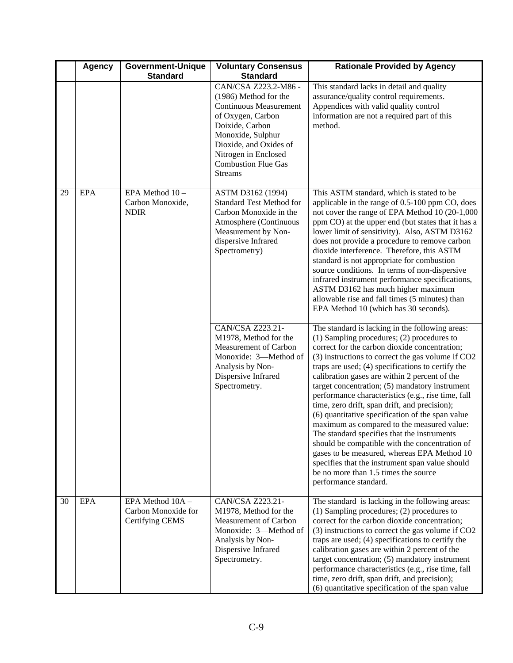|    | <b>Agency</b> | <b>Government-Unique</b><br><b>Standard</b>                | <b>Voluntary Consensus</b><br><b>Standard</b>                                                                                                                                                                                                 | <b>Rationale Provided by Agency</b>                                                                                                                                                                                                                                                                                                                                                                                                                                                                                                                                                                                                                                                                                                                                                                                                          |
|----|---------------|------------------------------------------------------------|-----------------------------------------------------------------------------------------------------------------------------------------------------------------------------------------------------------------------------------------------|----------------------------------------------------------------------------------------------------------------------------------------------------------------------------------------------------------------------------------------------------------------------------------------------------------------------------------------------------------------------------------------------------------------------------------------------------------------------------------------------------------------------------------------------------------------------------------------------------------------------------------------------------------------------------------------------------------------------------------------------------------------------------------------------------------------------------------------------|
|    |               |                                                            | CAN/CSA Z223.2-M86 -<br>(1986) Method for the<br><b>Continuous Measurement</b><br>of Oxygen, Carbon<br>Doixide, Carbon<br>Monoxide, Sulphur<br>Dioxide, and Oxides of<br>Nitrogen in Enclosed<br><b>Combustion Flue Gas</b><br><b>Streams</b> | This standard lacks in detail and quality<br>assurance/quality control requirements.<br>Appendices with valid quality control<br>information are not a required part of this<br>method.                                                                                                                                                                                                                                                                                                                                                                                                                                                                                                                                                                                                                                                      |
| 29 | <b>EPA</b>    | EPA Method 10-<br>Carbon Monoxide,<br><b>NDIR</b>          | ASTM D3162 (1994)<br><b>Standard Test Method for</b><br>Carbon Monoxide in the<br>Atmosphere (Continuous<br>Measurement by Non-<br>dispersive Infrared<br>Spectrometry)                                                                       | This ASTM standard, which is stated to be<br>applicable in the range of 0.5-100 ppm CO, does<br>not cover the range of EPA Method 10 (20-1,000<br>ppm CO) at the upper end (but states that it has a<br>lower limit of sensitivity). Also, ASTM D3162<br>does not provide a procedure to remove carbon<br>dioxide interference. Therefore, this ASTM<br>standard is not appropriate for combustion<br>source conditions. In terms of non-dispersive<br>infrared instrument performance specifications,<br>ASTM D3162 has much higher maximum<br>allowable rise and fall times (5 minutes) than<br>EPA Method 10 (which has 30 seconds).                                                                                                                                                                                                      |
|    |               |                                                            | CAN/CSA Z223.21-<br>M1978, Method for the<br>Measurement of Carbon<br>Monoxide: 3-Method of<br>Analysis by Non-<br>Dispersive Infrared<br>Spectrometry.                                                                                       | The standard is lacking in the following areas:<br>$(1)$ Sampling procedures; $(2)$ procedures to<br>correct for the carbon dioxide concentration;<br>(3) instructions to correct the gas volume if CO2<br>traps are used; (4) specifications to certify the<br>calibration gases are within 2 percent of the<br>target concentration; (5) mandatory instrument<br>performance characteristics (e.g., rise time, fall<br>time, zero drift, span drift, and precision);<br>(6) quantitative specification of the span value<br>maximum as compared to the measured value:<br>The standard specifies that the instruments<br>should be compatible with the concentration of<br>gases to be measured, whereas EPA Method 10<br>specifies that the instrument span value should<br>be no more than 1.5 times the source<br>performance standard. |
| 30 | <b>EPA</b>    | EPA Method 10A -<br>Carbon Monoxide for<br>Certifying CEMS | CAN/CSA Z223.21-<br>M1978, Method for the<br>Measurement of Carbon<br>Monoxide: 3-Method of<br>Analysis by Non-<br>Dispersive Infrared<br>Spectrometry.                                                                                       | The standard is lacking in the following areas:<br>(1) Sampling procedures; (2) procedures to<br>correct for the carbon dioxide concentration;<br>(3) instructions to correct the gas volume if CO2<br>traps are used; (4) specifications to certify the<br>calibration gases are within 2 percent of the<br>target concentration; (5) mandatory instrument<br>performance characteristics (e.g., rise time, fall<br>time, zero drift, span drift, and precision);<br>(6) quantitative specification of the span value                                                                                                                                                                                                                                                                                                                       |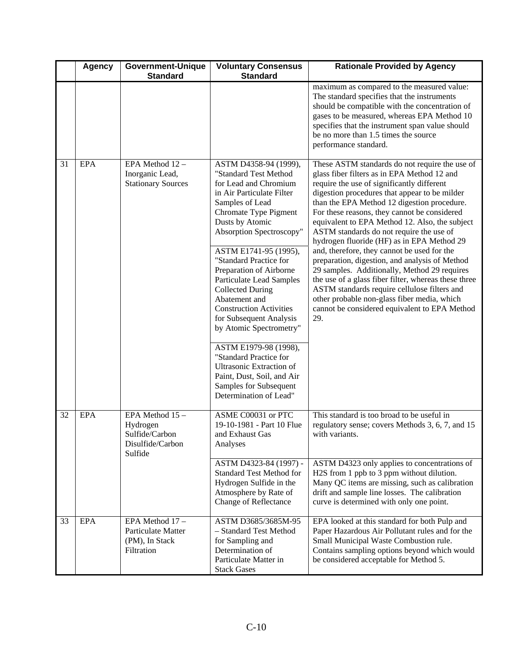|    | <b>Agency</b> | <b>Government-Unique</b><br><b>Standard</b>                                   | <b>Voluntary Consensus</b><br><b>Standard</b>                                                                                                                                                                                                                                                                                                                                                                                                                                                                                                                                                                                | <b>Rationale Provided by Agency</b>                                                                                                                                                                                                                                                                                                                                                                                                                                                                                                                                                                                                                                                                                                                                                                     |
|----|---------------|-------------------------------------------------------------------------------|------------------------------------------------------------------------------------------------------------------------------------------------------------------------------------------------------------------------------------------------------------------------------------------------------------------------------------------------------------------------------------------------------------------------------------------------------------------------------------------------------------------------------------------------------------------------------------------------------------------------------|---------------------------------------------------------------------------------------------------------------------------------------------------------------------------------------------------------------------------------------------------------------------------------------------------------------------------------------------------------------------------------------------------------------------------------------------------------------------------------------------------------------------------------------------------------------------------------------------------------------------------------------------------------------------------------------------------------------------------------------------------------------------------------------------------------|
|    |               |                                                                               |                                                                                                                                                                                                                                                                                                                                                                                                                                                                                                                                                                                                                              | maximum as compared to the measured value:<br>The standard specifies that the instruments<br>should be compatible with the concentration of<br>gases to be measured, whereas EPA Method 10<br>specifies that the instrument span value should<br>be no more than 1.5 times the source<br>performance standard.                                                                                                                                                                                                                                                                                                                                                                                                                                                                                          |
| 31 | <b>EPA</b>    | EPA Method 12 -<br>Inorganic Lead,<br><b>Stationary Sources</b>               | ASTM D4358-94 (1999),<br>"Standard Test Method<br>for Lead and Chromium<br>in Air Particulate Filter<br>Samples of Lead<br>Chromate Type Pigment<br>Dusts by Atomic<br>Absorption Spectroscopy"<br>ASTM E1741-95 (1995),<br>"Standard Practice for<br>Preparation of Airborne<br><b>Particulate Lead Samples</b><br><b>Collected During</b><br>Abatement and<br><b>Construction Activities</b><br>for Subsequent Analysis<br>by Atomic Spectrometry"<br>ASTM E1979-98 (1998),<br>"Standard Practice for<br><b>Ultrasonic Extraction of</b><br>Paint, Dust, Soil, and Air<br>Samples for Subsequent<br>Determination of Lead" | These ASTM standards do not require the use of<br>glass fiber filters as in EPA Method 12 and<br>require the use of significantly different<br>digestion procedures that appear to be milder<br>than the EPA Method 12 digestion procedure.<br>For these reasons, they cannot be considered<br>equivalent to EPA Method 12. Also, the subject<br>ASTM standards do not require the use of<br>hydrogen fluoride (HF) as in EPA Method 29<br>and, therefore, they cannot be used for the<br>preparation, digestion, and analysis of Method<br>29 samples. Additionally, Method 29 requires<br>the use of a glass fiber filter, whereas these three<br>ASTM standards require cellulose filters and<br>other probable non-glass fiber media, which<br>cannot be considered equivalent to EPA Method<br>29. |
| 32 | <b>EPA</b>    | EPA Method $15-$<br>Hydrogen<br>Sulfide/Carbon<br>Disulfide/Carbon<br>Sulfide | ASME C00031 or PTC<br>19-10-1981 - Part 10 Flue<br>and Exhaust Gas<br>Analyses                                                                                                                                                                                                                                                                                                                                                                                                                                                                                                                                               | This standard is too broad to be useful in<br>regulatory sense; covers Methods 3, 6, 7, and 15<br>with variants.                                                                                                                                                                                                                                                                                                                                                                                                                                                                                                                                                                                                                                                                                        |
|    |               |                                                                               | ASTM D4323-84 (1997) -<br><b>Standard Test Method for</b><br>Hydrogen Sulfide in the<br>Atmosphere by Rate of<br><b>Change of Reflectance</b>                                                                                                                                                                                                                                                                                                                                                                                                                                                                                | ASTM D4323 only applies to concentrations of<br>H2S from 1 ppb to 3 ppm without dilution.<br>Many QC items are missing, such as calibration<br>drift and sample line losses. The calibration<br>curve is determined with only one point.                                                                                                                                                                                                                                                                                                                                                                                                                                                                                                                                                                |
| 33 | <b>EPA</b>    | EPA Method 17 -<br>Particulate Matter<br>(PM), In Stack<br>Filtration         | ASTM D3685/3685M-95<br>- Standard Test Method<br>for Sampling and<br>Determination of<br>Particulate Matter in<br><b>Stack Gases</b>                                                                                                                                                                                                                                                                                                                                                                                                                                                                                         | EPA looked at this standard for both Pulp and<br>Paper Hazardous Air Pollutant rules and for the<br>Small Municipal Waste Combustion rule.<br>Contains sampling options beyond which would<br>be considered acceptable for Method 5.                                                                                                                                                                                                                                                                                                                                                                                                                                                                                                                                                                    |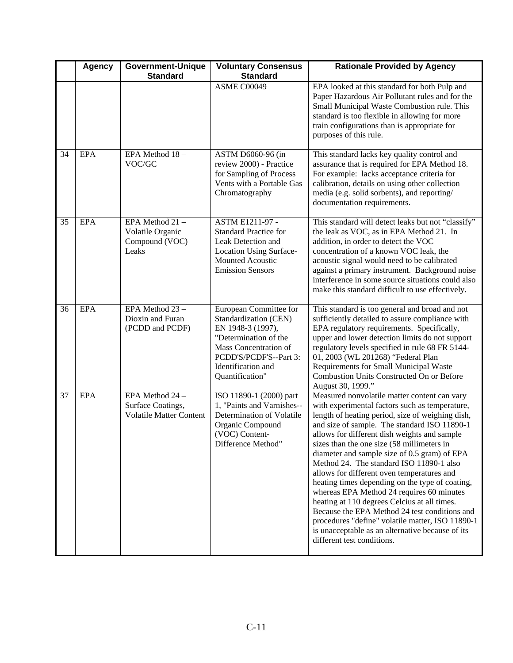|    | <b>Agency</b> | <b>Government-Unique</b><br><b>Standard</b>                            | <b>Voluntary Consensus</b><br><b>Standard</b>                                                                                                                                             | <b>Rationale Provided by Agency</b>                                                                                                                                                                                                                                                                                                                                                                                                                                                                                                                                                                                                                                                                                                                                               |
|----|---------------|------------------------------------------------------------------------|-------------------------------------------------------------------------------------------------------------------------------------------------------------------------------------------|-----------------------------------------------------------------------------------------------------------------------------------------------------------------------------------------------------------------------------------------------------------------------------------------------------------------------------------------------------------------------------------------------------------------------------------------------------------------------------------------------------------------------------------------------------------------------------------------------------------------------------------------------------------------------------------------------------------------------------------------------------------------------------------|
|    |               |                                                                        | ASME C00049                                                                                                                                                                               | EPA looked at this standard for both Pulp and<br>Paper Hazardous Air Pollutant rules and for the<br>Small Municipal Waste Combustion rule. This<br>standard is too flexible in allowing for more<br>train configurations than is appropriate for<br>purposes of this rule.                                                                                                                                                                                                                                                                                                                                                                                                                                                                                                        |
| 34 | <b>EPA</b>    | EPA Method 18-<br>VOC/GC                                               | ASTM D6060-96 (in<br>review 2000) - Practice<br>for Sampling of Process<br>Vents with a Portable Gas<br>Chromatography                                                                    | This standard lacks key quality control and<br>assurance that is required for EPA Method 18.<br>For example: lacks acceptance criteria for<br>calibration, details on using other collection<br>media (e.g. solid sorbents), and reporting/<br>documentation requirements.                                                                                                                                                                                                                                                                                                                                                                                                                                                                                                        |
| 35 | EPA           | EPA Method 21 -<br>Volatile Organic<br>Compound (VOC)<br>Leaks         | ASTM E1211-97 -<br><b>Standard Practice for</b><br>Leak Detection and<br><b>Location Using Surface-</b><br><b>Mounted Acoustic</b><br><b>Emission Sensors</b>                             | This standard will detect leaks but not "classify"<br>the leak as VOC, as in EPA Method 21. In<br>addition, in order to detect the VOC<br>concentration of a known VOC leak, the<br>acoustic signal would need to be calibrated<br>against a primary instrument. Background noise<br>interference in some source situations could also<br>make this standard difficult to use effectively.                                                                                                                                                                                                                                                                                                                                                                                        |
| 36 | <b>EPA</b>    | EPA Method 23 -<br>Dioxin and Furan<br>(PCDD and PCDF)                 | European Committee for<br>Standardization (CEN)<br>EN 1948-3 (1997),<br>"Determination of the<br>Mass Concentration of<br>PCDD'S/PCDF'S--Part 3:<br>Identification and<br>Quantification" | This standard is too general and broad and not<br>sufficiently detailed to assure compliance with<br>EPA regulatory requirements. Specifically,<br>upper and lower detection limits do not support<br>regulatory levels specified in rule 68 FR 5144-<br>01, 2003 (WL 201268) "Federal Plan<br>Requirements for Small Municipal Waste<br>Combustion Units Constructed On or Before<br>August 30, 1999."                                                                                                                                                                                                                                                                                                                                                                           |
| 37 | <b>EPA</b>    | EPA Method 24 -<br>Surface Coatings,<br><b>Volatile Matter Content</b> | ISO 11890-1 (2000) part<br>1, "Paints and Varnishes--<br>Determination of Volatile<br>Organic Compound<br>(VOC) Content-<br>Difference Method"                                            | Measured nonvolatile matter content can vary<br>with experimental factors such as temperature,<br>length of heating period, size of weighing dish,<br>and size of sample. The standard ISO 11890-1<br>allows for different dish weights and sample<br>sizes than the one size (58 millimeters in<br>diameter and sample size of 0.5 gram) of EPA<br>Method 24. The standard ISO 11890-1 also<br>allows for different oven temperatures and<br>heating times depending on the type of coating,<br>whereas EPA Method 24 requires 60 minutes<br>heating at 110 degrees Celcius at all times.<br>Because the EPA Method 24 test conditions and<br>procedures "define" volatile matter, ISO 11890-1<br>is unacceptable as an alternative because of its<br>different test conditions. |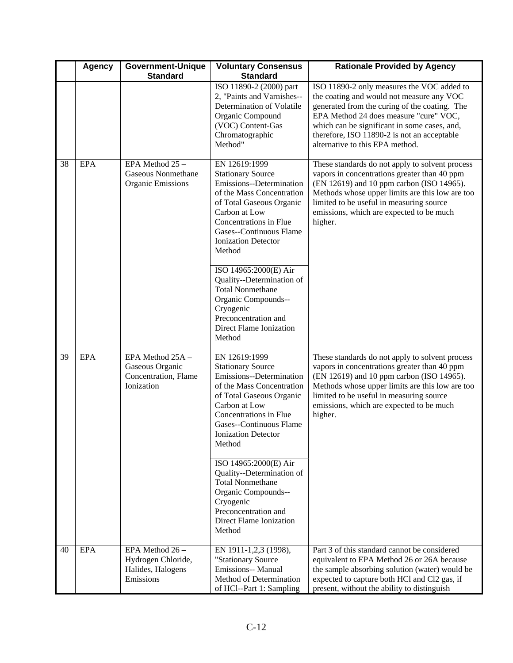|    | <b>Agency</b> | Government-Unique                                                         | <b>Voluntary Consensus</b>                                                                                                                                                                                                                   | <b>Rationale Provided by Agency</b>                                                                                                                                                                                                                                                                                  |
|----|---------------|---------------------------------------------------------------------------|----------------------------------------------------------------------------------------------------------------------------------------------------------------------------------------------------------------------------------------------|----------------------------------------------------------------------------------------------------------------------------------------------------------------------------------------------------------------------------------------------------------------------------------------------------------------------|
|    |               | <b>Standard</b>                                                           | <b>Standard</b>                                                                                                                                                                                                                              |                                                                                                                                                                                                                                                                                                                      |
|    |               |                                                                           | ISO 11890-2 (2000) part<br>2, "Paints and Varnishes--<br>Determination of Volatile<br>Organic Compound<br>(VOC) Content-Gas<br>Chromatographic<br>Method"                                                                                    | ISO 11890-2 only measures the VOC added to<br>the coating and would not measure any VOC<br>generated from the curing of the coating. The<br>EPA Method 24 does measure "cure" VOC,<br>which can be significant in some cases, and,<br>therefore, ISO 11890-2 is not an acceptable<br>alternative to this EPA method. |
| 38 | EPA           | EPA Method 25 -<br><b>Gaseous Nonmethane</b><br><b>Organic Emissions</b>  | EN 12619:1999<br><b>Stationary Source</b><br>Emissions--Determination<br>of the Mass Concentration<br>of Total Gaseous Organic<br>Carbon at Low<br>Concentrations in Flue<br>Gases--Continuous Flame<br><b>Ionization Detector</b><br>Method | These standards do not apply to solvent process<br>vapors in concentrations greater than 40 ppm<br>(EN 12619) and 10 ppm carbon (ISO 14965).<br>Methods whose upper limits are this low are too<br>limited to be useful in measuring source<br>emissions, which are expected to be much<br>higher.                   |
|    |               |                                                                           | ISO 14965:2000(E) Air<br>Quality--Determination of<br><b>Total Nonmethane</b><br>Organic Compounds--<br>Cryogenic<br>Preconcentration and<br>Direct Flame Ionization<br>Method                                                               |                                                                                                                                                                                                                                                                                                                      |
| 39 | <b>EPA</b>    | EPA Method 25A -<br>Gaseous Organic<br>Concentration, Flame<br>Ionization | EN 12619:1999<br><b>Stationary Source</b><br>Emissions--Determination<br>of the Mass Concentration<br>of Total Gaseous Organic<br>Carbon at Low<br>Concentrations in Flue<br>Gases--Continuous Flame<br><b>Ionization Detector</b><br>Method | These standards do not apply to solvent process<br>vapors in concentrations greater than 40 ppm<br>(EN 12619) and 10 ppm carbon (ISO 14965).<br>Methods whose upper limits are this low are too<br>limited to be useful in measuring source<br>emissions, which are expected to be much<br>higher.                   |
|    |               |                                                                           | ISO 14965:2000(E) Air<br>Quality--Determination of<br><b>Total Nonmethane</b><br>Organic Compounds--<br>Cryogenic<br>Preconcentration and<br><b>Direct Flame Ionization</b><br>Method                                                        |                                                                                                                                                                                                                                                                                                                      |
| 40 | EPA           | EPA Method 26 -<br>Hydrogen Chloride,<br>Halides, Halogens<br>Emissions   | EN 1911-1,2,3 (1998),<br>"Stationary Source<br>Emissions-- Manual<br>Method of Determination<br>of HCl--Part 1: Sampling                                                                                                                     | Part 3 of this standard cannot be considered<br>equivalent to EPA Method 26 or 26A because<br>the sample absorbing solution (water) would be<br>expected to capture both HCl and Cl2 gas, if<br>present, without the ability to distinguish                                                                          |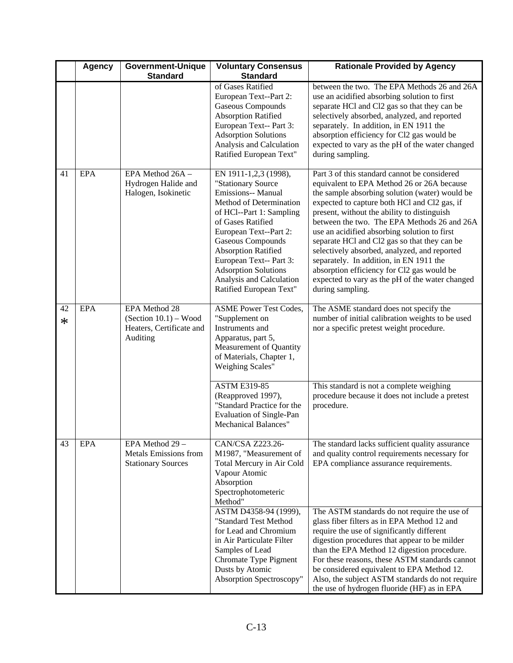|              | <b>Agency</b> | <b>Government-Unique</b><br><b>Standard</b>                                      | <b>Voluntary Consensus</b><br><b>Standard</b>                                                                                                                                                                                                                                                                                                      | <b>Rationale Provided by Agency</b>                                                                                                                                                                                                                                                                                                                                                                                                                                                                                                                                                                        |
|--------------|---------------|----------------------------------------------------------------------------------|----------------------------------------------------------------------------------------------------------------------------------------------------------------------------------------------------------------------------------------------------------------------------------------------------------------------------------------------------|------------------------------------------------------------------------------------------------------------------------------------------------------------------------------------------------------------------------------------------------------------------------------------------------------------------------------------------------------------------------------------------------------------------------------------------------------------------------------------------------------------------------------------------------------------------------------------------------------------|
|              |               |                                                                                  | of Gases Ratified<br>European Text--Part 2:<br><b>Gaseous Compounds</b><br><b>Absorption Ratified</b><br>European Text-- Part 3:<br><b>Adsorption Solutions</b><br>Analysis and Calculation<br>Ratified European Text"                                                                                                                             | between the two. The EPA Methods 26 and 26A<br>use an acidified absorbing solution to first<br>separate HCl and Cl2 gas so that they can be<br>selectively absorbed, analyzed, and reported<br>separately. In addition, in EN 1911 the<br>absorption efficiency for Cl2 gas would be<br>expected to vary as the pH of the water changed<br>during sampling.                                                                                                                                                                                                                                                |
| 41           | EPA           | EPA Method 26A -<br>Hydrogen Halide and<br>Halogen, Isokinetic                   | EN 1911-1,2,3 (1998),<br>"Stationary Source<br>Emissions-- Manual<br>Method of Determination<br>of HCl--Part 1: Sampling<br>of Gases Ratified<br>European Text--Part 2:<br><b>Gaseous Compounds</b><br><b>Absorption Ratified</b><br>European Text-- Part 3:<br><b>Adsorption Solutions</b><br>Analysis and Calculation<br>Ratified European Text" | Part 3 of this standard cannot be considered<br>equivalent to EPA Method 26 or 26A because<br>the sample absorbing solution (water) would be<br>expected to capture both HCl and Cl2 gas, if<br>present, without the ability to distinguish<br>between the two. The EPA Methods 26 and 26A<br>use an acidified absorbing solution to first<br>separate HCl and Cl2 gas so that they can be<br>selectively absorbed, analyzed, and reported<br>separately. In addition, in EN 1911 the<br>absorption efficiency for Cl2 gas would be<br>expected to vary as the pH of the water changed<br>during sampling. |
| 42<br>$\ast$ | <b>EPA</b>    | EPA Method 28<br>$(Section 10.1) - Wood$<br>Heaters, Certificate and<br>Auditing | <b>ASME Power Test Codes,</b><br>"Supplement on<br>Instruments and<br>Apparatus, part 5,<br>Measurement of Quantity<br>of Materials, Chapter 1,<br>Weighing Scales"                                                                                                                                                                                | The ASME standard does not specify the<br>number of initial calibration weights to be used<br>nor a specific pretest weight procedure.                                                                                                                                                                                                                                                                                                                                                                                                                                                                     |
|              |               |                                                                                  | <b>ASTM E319-85</b><br>(Reapproved 1997),<br>"Standard Practice for the<br><b>Evaluation of Single-Pan</b><br><b>Mechanical Balances"</b>                                                                                                                                                                                                          | This standard is not a complete weighing<br>procedure because it does not include a pretest<br>procedure.                                                                                                                                                                                                                                                                                                                                                                                                                                                                                                  |
| 43           | <b>EPA</b>    | EPA Method 29 -<br>Metals Emissions from<br><b>Stationary Sources</b>            | CAN/CSA Z223.26-<br>M1987, "Measurement of<br>Total Mercury in Air Cold<br>Vapour Atomic<br>Absorption<br>Spectrophotometeric<br>Method"                                                                                                                                                                                                           | The standard lacks sufficient quality assurance<br>and quality control requirements necessary for<br>EPA compliance assurance requirements.                                                                                                                                                                                                                                                                                                                                                                                                                                                                |
|              |               |                                                                                  | ASTM D4358-94 (1999),<br>"Standard Test Method<br>for Lead and Chromium<br>in Air Particulate Filter<br>Samples of Lead<br>Chromate Type Pigment<br>Dusts by Atomic<br>Absorption Spectroscopy"                                                                                                                                                    | The ASTM standards do not require the use of<br>glass fiber filters as in EPA Method 12 and<br>require the use of significantly different<br>digestion procedures that appear to be milder<br>than the EPA Method 12 digestion procedure.<br>For these reasons, these ASTM standards cannot<br>be considered equivalent to EPA Method 12.<br>Also, the subject ASTM standards do not require<br>the use of hydrogen fluoride (HF) as in EPA                                                                                                                                                                |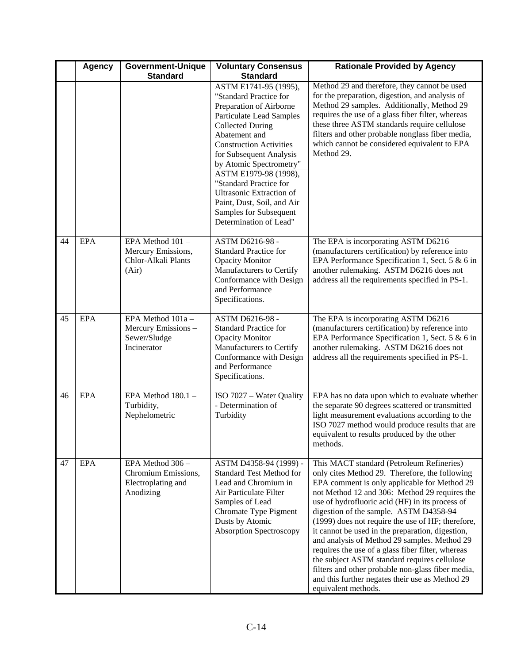|    | <b>Agency</b> | <b>Government-Unique</b>                                                   | <b>Voluntary Consensus</b>                                                                                                                                                                                                                                                                                                                                                                                                                   | <b>Rationale Provided by Agency</b>                                                                                                                                                                                                                                                                                                                                                                                                                                                                                                                                                                                                                                                    |
|----|---------------|----------------------------------------------------------------------------|----------------------------------------------------------------------------------------------------------------------------------------------------------------------------------------------------------------------------------------------------------------------------------------------------------------------------------------------------------------------------------------------------------------------------------------------|----------------------------------------------------------------------------------------------------------------------------------------------------------------------------------------------------------------------------------------------------------------------------------------------------------------------------------------------------------------------------------------------------------------------------------------------------------------------------------------------------------------------------------------------------------------------------------------------------------------------------------------------------------------------------------------|
|    |               | <b>Standard</b>                                                            | <b>Standard</b><br>ASTM E1741-95 (1995),<br>"Standard Practice for<br>Preparation of Airborne<br><b>Particulate Lead Samples</b><br><b>Collected During</b><br>Abatement and<br><b>Construction Activities</b><br>for Subsequent Analysis<br>by Atomic Spectrometry"<br>ASTM E1979-98 (1998),<br>"Standard Practice for<br><b>Ultrasonic Extraction of</b><br>Paint, Dust, Soil, and Air<br>Samples for Subsequent<br>Determination of Lead" | Method 29 and therefore, they cannot be used<br>for the preparation, digestion, and analysis of<br>Method 29 samples. Additionally, Method 29<br>requires the use of a glass fiber filter, whereas<br>these three ASTM standards require cellulose<br>filters and other probable nonglass fiber media,<br>which cannot be considered equivalent to EPA<br>Method 29.                                                                                                                                                                                                                                                                                                                   |
| 44 | EPA           | EPA Method 101-<br>Mercury Emissions,<br>Chlor-Alkali Plants<br>(Air)      | ASTM D6216-98 -<br><b>Standard Practice for</b><br><b>Opacity Monitor</b><br>Manufacturers to Certify<br>Conformance with Design<br>and Performance<br>Specifications.                                                                                                                                                                                                                                                                       | The EPA is incorporating ASTM D6216<br>(manufacturers certification) by reference into<br>EPA Performance Specification 1, Sect. 5 & 6 in<br>another rulemaking. ASTM D6216 does not<br>address all the requirements specified in PS-1.                                                                                                                                                                                                                                                                                                                                                                                                                                                |
| 45 | <b>EPA</b>    | EPA Method 101a -<br>Mercury Emissions-<br>Sewer/Sludge<br>Incinerator     | ASTM D6216-98 -<br><b>Standard Practice for</b><br><b>Opacity Monitor</b><br>Manufacturers to Certify<br>Conformance with Design<br>and Performance<br>Specifications.                                                                                                                                                                                                                                                                       | The EPA is incorporating ASTM D6216<br>(manufacturers certification) by reference into<br>EPA Performance Specification 1, Sect. 5 & 6 in<br>another rulemaking. ASTM D6216 does not<br>address all the requirements specified in PS-1.                                                                                                                                                                                                                                                                                                                                                                                                                                                |
| 46 | <b>EPA</b>    | EPA Method $180.1 -$<br>Turbidity,<br>Nephelometric                        | ISO 7027 - Water Quality<br>- Determination of<br>Turbidity                                                                                                                                                                                                                                                                                                                                                                                  | EPA has no data upon which to evaluate whether<br>the separate 90 degrees scattered or transmitted<br>light measurement evaluations according to the<br>ISO 7027 method would produce results that are<br>equivalent to results produced by the other<br>methods.                                                                                                                                                                                                                                                                                                                                                                                                                      |
| 47 | <b>EPA</b>    | EPA Method 306 -<br>Chromium Emissions,<br>Electroplating and<br>Anodizing | ASTM D4358-94 (1999) -<br><b>Standard Test Method for</b><br>Lead and Chromium in<br>Air Particulate Filter<br>Samples of Lead<br>Chromate Type Pigment<br>Dusts by Atomic<br><b>Absorption Spectroscopy</b>                                                                                                                                                                                                                                 | This MACT standard (Petroleum Refineries)<br>only cites Method 29. Therefore, the following<br>EPA comment is only applicable for Method 29<br>not Method 12 and 306: Method 29 requires the<br>use of hydrofluoric acid (HF) in its process of<br>digestion of the sample. ASTM D4358-94<br>(1999) does not require the use of HF; therefore,<br>it cannot be used in the preparation, digestion,<br>and analysis of Method 29 samples. Method 29<br>requires the use of a glass fiber filter, whereas<br>the subject ASTM standard requires cellulose<br>filters and other probable non-glass fiber media,<br>and this further negates their use as Method 29<br>equivalent methods. |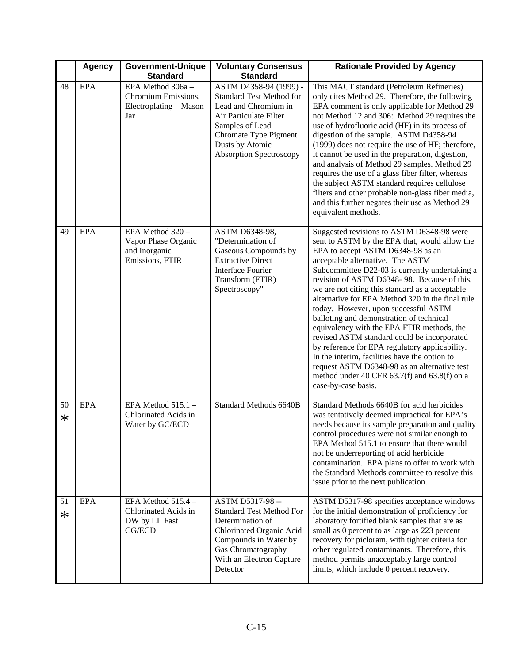|              | <b>Agency</b> | <b>Government-Unique</b><br><b>Standard</b>                                 | <b>Voluntary Consensus</b><br><b>Standard</b>                                                                                                                                                         | <b>Rationale Provided by Agency</b>                                                                                                                                                                                                                                                                                                                                                                                                                                                                                                                                                                                                                                                                                                                                                        |
|--------------|---------------|-----------------------------------------------------------------------------|-------------------------------------------------------------------------------------------------------------------------------------------------------------------------------------------------------|--------------------------------------------------------------------------------------------------------------------------------------------------------------------------------------------------------------------------------------------------------------------------------------------------------------------------------------------------------------------------------------------------------------------------------------------------------------------------------------------------------------------------------------------------------------------------------------------------------------------------------------------------------------------------------------------------------------------------------------------------------------------------------------------|
| 48           | <b>EPA</b>    | EPA Method 306a -<br>Chromium Emissions,<br>Electroplating-Mason<br>Jar     | ASTM D4358-94 (1999) -<br>Standard Test Method for<br>Lead and Chromium in<br>Air Particulate Filter<br>Samples of Lead<br>Chromate Type Pigment<br>Dusts by Atomic<br><b>Absorption Spectroscopy</b> | This MACT standard (Petroleum Refineries)<br>only cites Method 29. Therefore, the following<br>EPA comment is only applicable for Method 29<br>not Method 12 and 306: Method 29 requires the<br>use of hydrofluoric acid (HF) in its process of<br>digestion of the sample. ASTM D4358-94<br>(1999) does not require the use of HF; therefore,<br>it cannot be used in the preparation, digestion,<br>and analysis of Method 29 samples. Method 29<br>requires the use of a glass fiber filter, whereas<br>the subject ASTM standard requires cellulose<br>filters and other probable non-glass fiber media,<br>and this further negates their use as Method 29<br>equivalent methods.                                                                                                     |
| 49           | <b>EPA</b>    | EPA Method 320 -<br>Vapor Phase Organic<br>and Inorganic<br>Emissions, FTIR | ASTM D6348-98,<br>"Determination of<br>Gaseous Compounds by<br><b>Extractive Direct</b><br><b>Interface Fourier</b><br>Transform (FTIR)<br>Spectroscopy"                                              | Suggested revisions to ASTM D6348-98 were<br>sent to ASTM by the EPA that, would allow the<br>EPA to accept ASTM D6348-98 as an<br>acceptable alternative. The ASTM<br>Subcommittee D22-03 is currently undertaking a<br>revision of ASTM D6348-98. Because of this,<br>we are not citing this standard as a acceptable<br>alternative for EPA Method 320 in the final rule<br>today. However, upon successful ASTM<br>balloting and demonstration of technical<br>equivalency with the EPA FTIR methods, the<br>revised ASTM standard could be incorporated<br>by reference for EPA regulatory applicability.<br>In the interim, facilities have the option to<br>request ASTM D6348-98 as an alternative test<br>method under 40 CFR $63.7(f)$ and $63.8(f)$ on a<br>case-by-case basis. |
| 50<br>∗      | <b>EPA</b>    | EPA Method $515.1 -$<br>Chlorinated Acids in<br>Water by GC/ECD             | Standard Methods 6640B                                                                                                                                                                                | Standard Methods 6640B for acid herbicides<br>was tentatively deemed impractical for EPA's<br>needs because its sample preparation and quality<br>control procedures were not similar enough to<br>EPA Method 515.1 to ensure that there would<br>not be underreporting of acid herbicide<br>contamination. EPA plans to offer to work with<br>the Standard Methods committee to resolve this<br>issue prior to the next publication.                                                                                                                                                                                                                                                                                                                                                      |
| 51<br>$\ast$ | <b>EPA</b>    | EPA Method $515.4 -$<br>Chlorinated Acids in<br>DW by LL Fast<br>CG/ECD     | ASTM D5317-98 --<br><b>Standard Test Method For</b><br>Determination of<br>Chlorinated Organic Acid<br>Compounds in Water by<br>Gas Chromatography<br>With an Electron Capture<br>Detector            | ASTM D5317-98 specifies acceptance windows<br>for the initial demonstration of proficiency for<br>laboratory fortified blank samples that are as<br>small as 0 percent to as large as 223 percent<br>recovery for picloram, with tighter criteria for<br>other regulated contaminants. Therefore, this<br>method permits unacceptably large control<br>limits, which include 0 percent recovery.                                                                                                                                                                                                                                                                                                                                                                                           |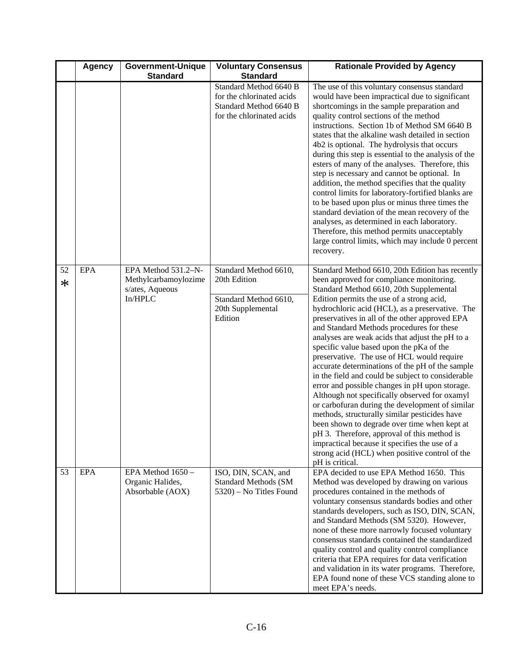|              | <b>Agency</b> | <b>Government-Unique</b>                                                  | <b>Voluntary Consensus</b>                                                                                 | <b>Rationale Provided by Agency</b>                                                                                                                                                                                                                                                                                                                                                                                                                                                                                                                                                                                                                                                                                                                                                                                                                                                                                                                                                                                    |
|--------------|---------------|---------------------------------------------------------------------------|------------------------------------------------------------------------------------------------------------|------------------------------------------------------------------------------------------------------------------------------------------------------------------------------------------------------------------------------------------------------------------------------------------------------------------------------------------------------------------------------------------------------------------------------------------------------------------------------------------------------------------------------------------------------------------------------------------------------------------------------------------------------------------------------------------------------------------------------------------------------------------------------------------------------------------------------------------------------------------------------------------------------------------------------------------------------------------------------------------------------------------------|
|              |               | <b>Standard</b>                                                           | <b>Standard</b>                                                                                            |                                                                                                                                                                                                                                                                                                                                                                                                                                                                                                                                                                                                                                                                                                                                                                                                                                                                                                                                                                                                                        |
|              |               |                                                                           | Standard Method 6640 B<br>for the chlorinated acids<br>Standard Method 6640 B<br>for the chlorinated acids | The use of this voluntary consensus standard<br>would have been impractical due to significant<br>shortcomings in the sample preparation and<br>quality control sections of the method<br>instructions. Section 1b of Method SM 6640 B<br>states that the alkaline wash detailed in section<br>4b2 is optional. The hydrolysis that occurs<br>during this step is essential to the analysis of the<br>esters of many of the analyses. Therefore, this<br>step is necessary and cannot be optional. In<br>addition, the method specifies that the quality<br>control limits for laboratory-fortified blanks are<br>to be based upon plus or minus three times the<br>standard deviation of the mean recovery of the<br>analyses, as determined in each laboratory.<br>Therefore, this method permits unacceptably<br>large control limits, which may include 0 percent<br>recovery.                                                                                                                                     |
| 52<br>$\ast$ | EPA           | EPA Method 531.2-N-<br>Methylcarbamoylozime<br>s/ates, Aqueous<br>In/HPLC | Standard Method 6610,<br>20th Edition<br>Standard Method 6610,<br>20th Supplemental<br>Edition             | Standard Method 6610, 20th Edition has recently<br>been approved for compliance monitoring.<br>Standard Method 6610, 20th Supplemental<br>Edition permits the use of a strong acid,<br>hydrochloric acid (HCL), as a preservative. The<br>preservatives in all of the other approved EPA<br>and Standard Methods procedures for these<br>analyses are weak acids that adjust the pH to a<br>specific value based upon the pKa of the<br>preservative. The use of HCL would require<br>accurate determinations of the pH of the sample<br>in the field and could be subject to considerable<br>error and possible changes in pH upon storage.<br>Although not specifically observed for oxamyl<br>or carbofuran during the development of similar<br>methods, structurally similar pesticides have<br>been shown to degrade over time when kept at<br>pH 3. Therefore, approval of this method is<br>impractical because it specifies the use of a<br>strong acid (HCL) when positive control of the<br>pH is critical. |
| 53           | EPA           | EPA Method 1650 -<br>Organic Halides,<br>Absorbable (AOX)                 | ISO, DIN, SCAN, and<br><b>Standard Methods (SM</b><br>5320) – No Titles Found                              | EPA decided to use EPA Method 1650. This<br>Method was developed by drawing on various<br>procedures contained in the methods of<br>voluntary consensus standards bodies and other<br>standards developers, such as ISO, DIN, SCAN,<br>and Standard Methods (SM 5320). However,<br>none of these more narrowly focused voluntary<br>consensus standards contained the standardized<br>quality control and quality control compliance<br>criteria that EPA requires for data verification<br>and validation in its water programs. Therefore,<br>EPA found none of these VCS standing alone to<br>meet EPA's needs.                                                                                                                                                                                                                                                                                                                                                                                                     |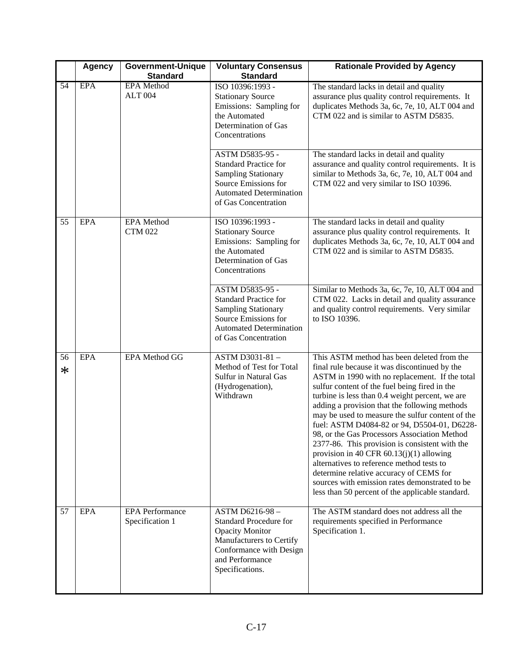|              | <b>Agency</b> | <b>Government-Unique</b>                  | <b>Voluntary Consensus</b>                                                                                                                                             | <b>Rationale Provided by Agency</b>                                                                                                                                                                                                                                                                                                                                                                                                                                                                                                                                                                                                                                                                                                                 |
|--------------|---------------|-------------------------------------------|------------------------------------------------------------------------------------------------------------------------------------------------------------------------|-----------------------------------------------------------------------------------------------------------------------------------------------------------------------------------------------------------------------------------------------------------------------------------------------------------------------------------------------------------------------------------------------------------------------------------------------------------------------------------------------------------------------------------------------------------------------------------------------------------------------------------------------------------------------------------------------------------------------------------------------------|
|              |               | <b>Standard</b>                           | <b>Standard</b>                                                                                                                                                        |                                                                                                                                                                                                                                                                                                                                                                                                                                                                                                                                                                                                                                                                                                                                                     |
| 54           | <b>EPA</b>    | <b>EPA</b> Method<br><b>ALT 004</b>       | ISO 10396:1993 -<br><b>Stationary Source</b><br>Emissions: Sampling for<br>the Automated<br>Determination of Gas<br>Concentrations                                     | The standard lacks in detail and quality<br>assurance plus quality control requirements. It<br>duplicates Methods 3a, 6c, 7e, 10, ALT 004 and<br>CTM 022 and is similar to ASTM D5835.                                                                                                                                                                                                                                                                                                                                                                                                                                                                                                                                                              |
|              |               |                                           | ASTM D5835-95 -<br><b>Standard Practice for</b><br><b>Sampling Stationary</b><br>Source Emissions for<br><b>Automated Determination</b><br>of Gas Concentration        | The standard lacks in detail and quality<br>assurance and quality control requirements. It is<br>similar to Methods 3a, 6c, 7e, 10, ALT 004 and<br>CTM 022 and very similar to ISO 10396.                                                                                                                                                                                                                                                                                                                                                                                                                                                                                                                                                           |
| 55           | EPA           | <b>EPA</b> Method<br><b>CTM 022</b>       | ISO 10396:1993 -<br><b>Stationary Source</b><br>Emissions: Sampling for<br>the Automated<br>Determination of Gas<br>Concentrations                                     | The standard lacks in detail and quality<br>assurance plus quality control requirements. It<br>duplicates Methods 3a, 6c, 7e, 10, ALT 004 and<br>CTM 022 and is similar to ASTM D5835.                                                                                                                                                                                                                                                                                                                                                                                                                                                                                                                                                              |
|              |               |                                           | ASTM D5835-95 -<br><b>Standard Practice for</b><br><b>Sampling Stationary</b><br>Source Emissions for<br><b>Automated Determination</b><br>of Gas Concentration        | Similar to Methods 3a, 6c, 7e, 10, ALT 004 and<br>CTM 022. Lacks in detail and quality assurance<br>and quality control requirements. Very similar<br>to ISO 10396.                                                                                                                                                                                                                                                                                                                                                                                                                                                                                                                                                                                 |
| 56<br>$\ast$ | <b>EPA</b>    | EPA Method GG                             | ASTM D3031-81-<br>Method of Test for Total<br>Sulfur in Natural Gas<br>(Hydrogenation),<br>Withdrawn                                                                   | This ASTM method has been deleted from the<br>final rule because it was discontinued by the<br>ASTM in 1990 with no replacement. If the total<br>sulfur content of the fuel being fired in the<br>turbine is less than 0.4 weight percent, we are<br>adding a provision that the following methods<br>may be used to measure the sulfur content of the<br>fuel: ASTM D4084-82 or 94, D5504-01, D6228-<br>98, or the Gas Processors Association Method<br>2377-86. This provision is consistent with the<br>provision in 40 CFR $60.13(j)(1)$ allowing<br>alternatives to reference method tests to<br>determine relative accuracy of CEMS for<br>sources with emission rates demonstrated to be<br>less than 50 percent of the applicable standard. |
| 57           | <b>EPA</b>    | <b>EPA</b> Performance<br>Specification 1 | ASTM D6216-98-<br><b>Standard Procedure for</b><br><b>Opacity Monitor</b><br>Manufacturers to Certify<br>Conformance with Design<br>and Performance<br>Specifications. | The ASTM standard does not address all the<br>requirements specified in Performance<br>Specification 1.                                                                                                                                                                                                                                                                                                                                                                                                                                                                                                                                                                                                                                             |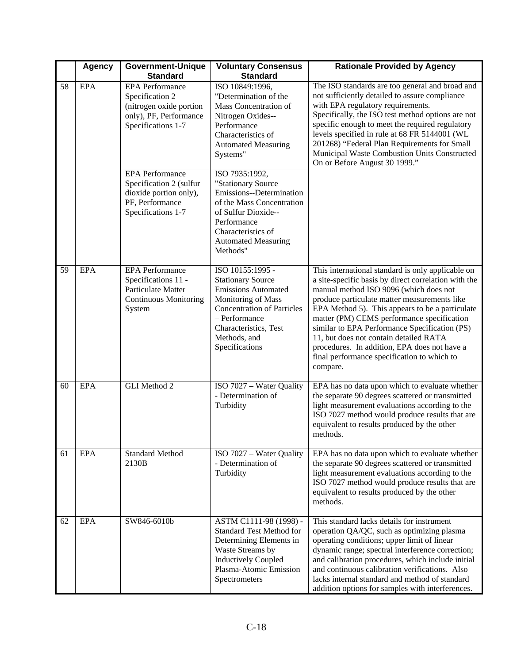|    | <b>Agency</b> | <b>Government-Unique</b>                                                                                             | <b>Voluntary Consensus</b>                                                                                                                                                                                        | <b>Rationale Provided by Agency</b>                                                                                                                                                                                                                                                                                                                                                                                                                                                                        |
|----|---------------|----------------------------------------------------------------------------------------------------------------------|-------------------------------------------------------------------------------------------------------------------------------------------------------------------------------------------------------------------|------------------------------------------------------------------------------------------------------------------------------------------------------------------------------------------------------------------------------------------------------------------------------------------------------------------------------------------------------------------------------------------------------------------------------------------------------------------------------------------------------------|
|    |               | <b>Standard</b>                                                                                                      | <b>Standard</b>                                                                                                                                                                                                   |                                                                                                                                                                                                                                                                                                                                                                                                                                                                                                            |
| 58 | <b>EPA</b>    | <b>EPA</b> Performance<br>Specification 2<br>(nitrogen oxide portion<br>only), PF, Performance<br>Specifications 1-7 | ISO 10849:1996.<br>"Determination of the<br>Mass Concentration of<br>Nitrogen Oxides--<br>Performance<br>Characteristics of<br><b>Automated Measuring</b><br>Systems"                                             | The ISO standards are too general and broad and<br>not sufficiently detailed to assure compliance<br>with EPA regulatory requirements.<br>Specifically, the ISO test method options are not<br>specific enough to meet the required regulatory<br>levels specified in rule at 68 FR 5144001 (WL<br>201268) "Federal Plan Requirements for Small<br>Municipal Waste Combustion Units Constructed<br>On or Before August 30 1999."                                                                           |
|    |               | <b>EPA</b> Performance<br>Specification 2 (sulfur<br>dioxide portion only),<br>PF, Performance<br>Specifications 1-7 | ISO 7935:1992,<br>"Stationary Source<br>Emissions--Determination<br>of the Mass Concentration<br>of Sulfur Dioxide--<br>Performance<br>Characteristics of<br><b>Automated Measuring</b><br>Methods"               |                                                                                                                                                                                                                                                                                                                                                                                                                                                                                                            |
| 59 | EPA           | <b>EPA</b> Performance<br>Specifications 11 -<br><b>Particulate Matter</b><br>Continuous Monitoring<br>System        | ISO 10155:1995 -<br><b>Stationary Source</b><br><b>Emissions Automated</b><br>Monitoring of Mass<br><b>Concentration of Particles</b><br>- Performance<br>Characteristics, Test<br>Methods, and<br>Specifications | This international standard is only applicable on<br>a site-specific basis by direct correlation with the<br>manual method ISO 9096 (which does not<br>produce particulate matter measurements like<br>EPA Method 5). This appears to be a particulate<br>matter (PM) CEMS performance specification<br>similar to EPA Performance Specification (PS)<br>11, but does not contain detailed RATA<br>procedures. In addition, EPA does not have a<br>final performance specification to which to<br>compare. |
| 60 | <b>EPA</b>    | GLI Method 2                                                                                                         | ISO 7027 - Water Quality<br>- Determination of<br>Turbidity                                                                                                                                                       | EPA has no data upon which to evaluate whether<br>the separate 90 degrees scattered or transmitted<br>light measurement evaluations according to the<br>ISO 7027 method would produce results that are<br>equivalent to results produced by the other<br>methods.                                                                                                                                                                                                                                          |
| 61 | <b>EPA</b>    | <b>Standard Method</b><br>2130B                                                                                      | ISO 7027 - Water Quality<br>- Determination of<br>Turbidity                                                                                                                                                       | EPA has no data upon which to evaluate whether<br>the separate 90 degrees scattered or transmitted<br>light measurement evaluations according to the<br>ISO 7027 method would produce results that are<br>equivalent to results produced by the other<br>methods.                                                                                                                                                                                                                                          |
| 62 | <b>EPA</b>    | SW846-6010b                                                                                                          | ASTM C1111-98 (1998) -<br><b>Standard Test Method for</b><br>Determining Elements in<br>Waste Streams by<br><b>Inductively Coupled</b><br>Plasma-Atomic Emission<br>Spectrometers                                 | This standard lacks details for instrument<br>operation QA/QC, such as optimizing plasma<br>operating conditions; upper limit of linear<br>dynamic range; spectral interference correction;<br>and calibration procedures, which include initial<br>and continuous calibration verifications. Also<br>lacks internal standard and method of standard<br>addition options for samples with interferences.                                                                                                   |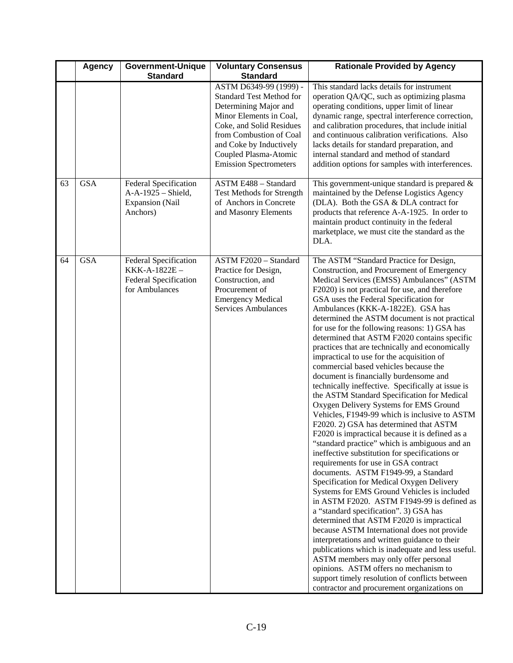|    | <b>Agency</b> | <b>Government-Unique</b>                                                                 | <b>Voluntary Consensus</b>                                                                                                                                                                                                                                | <b>Rationale Provided by Agency</b>                                                                                                                                                                                                                                                                                                                                                                                                                                                                                                                                                                                                                                                                                                                                                                                                                                                                                                                                                                                                                                                                                                                                                                                                                                                                                                                                                                                                                                                                                                                                                                                                                             |
|----|---------------|------------------------------------------------------------------------------------------|-----------------------------------------------------------------------------------------------------------------------------------------------------------------------------------------------------------------------------------------------------------|-----------------------------------------------------------------------------------------------------------------------------------------------------------------------------------------------------------------------------------------------------------------------------------------------------------------------------------------------------------------------------------------------------------------------------------------------------------------------------------------------------------------------------------------------------------------------------------------------------------------------------------------------------------------------------------------------------------------------------------------------------------------------------------------------------------------------------------------------------------------------------------------------------------------------------------------------------------------------------------------------------------------------------------------------------------------------------------------------------------------------------------------------------------------------------------------------------------------------------------------------------------------------------------------------------------------------------------------------------------------------------------------------------------------------------------------------------------------------------------------------------------------------------------------------------------------------------------------------------------------------------------------------------------------|
|    |               | <b>Standard</b>                                                                          | <b>Standard</b>                                                                                                                                                                                                                                           |                                                                                                                                                                                                                                                                                                                                                                                                                                                                                                                                                                                                                                                                                                                                                                                                                                                                                                                                                                                                                                                                                                                                                                                                                                                                                                                                                                                                                                                                                                                                                                                                                                                                 |
|    |               |                                                                                          | ASTM D6349-99 (1999) -<br><b>Standard Test Method for</b><br>Determining Major and<br>Minor Elements in Coal,<br>Coke, and Solid Residues<br>from Combustion of Coal<br>and Coke by Inductively<br>Coupled Plasma-Atomic<br><b>Emission Spectrometers</b> | This standard lacks details for instrument<br>operation QA/QC, such as optimizing plasma<br>operating conditions, upper limit of linear<br>dynamic range, spectral interference correction,<br>and calibration procedures, that include initial<br>and continuous calibration verifications. Also<br>lacks details for standard preparation, and<br>internal standard and method of standard<br>addition options for samples with interferences.                                                                                                                                                                                                                                                                                                                                                                                                                                                                                                                                                                                                                                                                                                                                                                                                                                                                                                                                                                                                                                                                                                                                                                                                                |
| 63 | GSA           | <b>Federal Specification</b><br>A-A-1925 - Shield,<br><b>Expansion</b> (Nail<br>Anchors) | ASTM E488 - Standard<br>Test Methods for Strength<br>of Anchors in Concrete<br>and Masonry Elements                                                                                                                                                       | This government-unique standard is prepared $&$<br>maintained by the Defense Logistics Agency<br>(DLA). Both the GSA & DLA contract for<br>products that reference A-A-1925. In order to<br>maintain product continuity in the federal<br>marketplace, we must cite the standard as the<br>DLA.                                                                                                                                                                                                                                                                                                                                                                                                                                                                                                                                                                                                                                                                                                                                                                                                                                                                                                                                                                                                                                                                                                                                                                                                                                                                                                                                                                 |
| 64 | <b>GSA</b>    | <b>Federal Specification</b><br>KKK-A-1822E-<br>Federal Specification<br>for Ambulances  | ASTM F2020 - Standard<br>Practice for Design,<br>Construction, and<br>Procurement of<br><b>Emergency Medical</b><br>Services Ambulances                                                                                                                   | The ASTM "Standard Practice for Design,<br>Construction, and Procurement of Emergency<br>Medical Services (EMSS) Ambulances" (ASTM<br>F2020) is not practical for use, and therefore<br>GSA uses the Federal Specification for<br>Ambulances (KKK-A-1822E). GSA has<br>determined the ASTM document is not practical<br>for use for the following reasons: 1) GSA has<br>determined that ASTM F2020 contains specific<br>practices that are technically and economically<br>impractical to use for the acquisition of<br>commercial based vehicles because the<br>document is financially burdensome and<br>technically ineffective. Specifically at issue is<br>the ASTM Standard Specification for Medical<br>Oxygen Delivery Systems for EMS Ground<br>Vehicles, F1949-99 which is inclusive to ASTM<br>F2020. 2) GSA has determined that ASTM<br>F2020 is impractical because it is defined as a<br>"standard practice" which is ambiguous and an<br>ineffective substitution for specifications or<br>requirements for use in GSA contract<br>documents. ASTM F1949-99, a Standard<br>Specification for Medical Oxygen Delivery<br>Systems for EMS Ground Vehicles is included<br>in ASTM F2020. ASTM F1949-99 is defined as<br>a "standard specification". 3) GSA has<br>determined that ASTM F2020 is impractical<br>because ASTM International does not provide<br>interpretations and written guidance to their<br>publications which is inadequate and less useful.<br>ASTM members may only offer personal<br>opinions. ASTM offers no mechanism to<br>support timely resolution of conflicts between<br>contractor and procurement organizations on |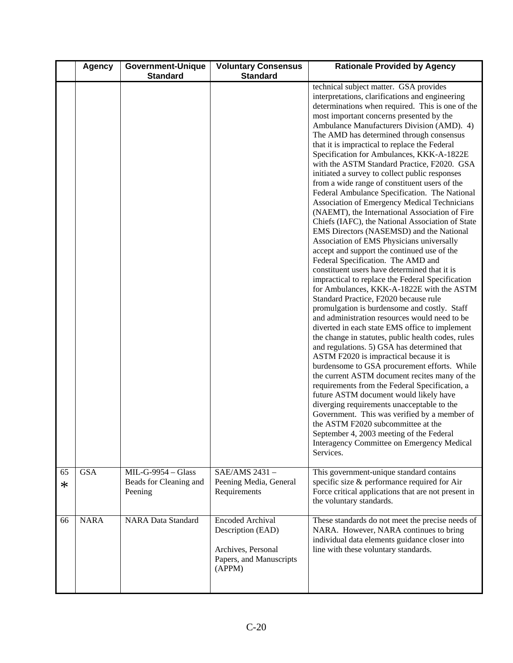|         | <b>Agency</b> | <b>Government-Unique</b><br><b>Standard</b>               | <b>Voluntary Consensus</b><br><b>Standard</b>                                                           | <b>Rationale Provided by Agency</b>                                                                                                                                                                                                                                                                                                                                                                                                                                                                                                                                                                                                                                                                                                                                                                                                                                                                                                                                                                                                                                                                                                                                                                                                                                                                                                                                                                                                                                                                                                                                                                                                                                                                                                                                                                                                                           |
|---------|---------------|-----------------------------------------------------------|---------------------------------------------------------------------------------------------------------|---------------------------------------------------------------------------------------------------------------------------------------------------------------------------------------------------------------------------------------------------------------------------------------------------------------------------------------------------------------------------------------------------------------------------------------------------------------------------------------------------------------------------------------------------------------------------------------------------------------------------------------------------------------------------------------------------------------------------------------------------------------------------------------------------------------------------------------------------------------------------------------------------------------------------------------------------------------------------------------------------------------------------------------------------------------------------------------------------------------------------------------------------------------------------------------------------------------------------------------------------------------------------------------------------------------------------------------------------------------------------------------------------------------------------------------------------------------------------------------------------------------------------------------------------------------------------------------------------------------------------------------------------------------------------------------------------------------------------------------------------------------------------------------------------------------------------------------------------------------|
|         |               |                                                           |                                                                                                         | technical subject matter. GSA provides<br>interpretations, clarifications and engineering<br>determinations when required. This is one of the<br>most important concerns presented by the<br>Ambulance Manufacturers Division (AMD). 4)<br>The AMD has determined through consensus<br>that it is impractical to replace the Federal<br>Specification for Ambulances, KKK-A-1822E<br>with the ASTM Standard Practice, F2020. GSA<br>initiated a survey to collect public responses<br>from a wide range of constituent users of the<br>Federal Ambulance Specification. The National<br>Association of Emergency Medical Technicians<br>(NAEMT), the International Association of Fire<br>Chiefs (IAFC), the National Association of State<br>EMS Directors (NASEMSD) and the National<br>Association of EMS Physicians universally<br>accept and support the continued use of the<br>Federal Specification. The AMD and<br>constituent users have determined that it is<br>impractical to replace the Federal Specification<br>for Ambulances, KKK-A-1822E with the ASTM<br>Standard Practice, F2020 because rule<br>promulgation is burdensome and costly. Staff<br>and administration resources would need to be<br>diverted in each state EMS office to implement<br>the change in statutes, public health codes, rules<br>and regulations. 5) GSA has determined that<br>ASTM F2020 is impractical because it is<br>burdensome to GSA procurement efforts. While<br>the current ASTM document recites many of the<br>requirements from the Federal Specification, a<br>future ASTM document would likely have<br>diverging requirements unacceptable to the<br>Government. This was verified by a member of<br>the ASTM F2020 subcommittee at the<br>September 4, 2003 meeting of the Federal<br>Interagency Committee on Emergency Medical<br>Services. |
| 65<br>∗ | <b>GSA</b>    | $MIL-G-9954 - Glass$<br>Beads for Cleaning and<br>Peening | SAE/AMS 2431-<br>Peening Media, General<br>Requirements                                                 | This government-unique standard contains<br>specific size & performance required for Air<br>Force critical applications that are not present in<br>the voluntary standards.                                                                                                                                                                                                                                                                                                                                                                                                                                                                                                                                                                                                                                                                                                                                                                                                                                                                                                                                                                                                                                                                                                                                                                                                                                                                                                                                                                                                                                                                                                                                                                                                                                                                                   |
| 66      | <b>NARA</b>   | <b>NARA Data Standard</b>                                 | <b>Encoded Archival</b><br>Description (EAD)<br>Archives, Personal<br>Papers, and Manuscripts<br>(APPM) | These standards do not meet the precise needs of<br>NARA. However, NARA continues to bring<br>individual data elements guidance closer into<br>line with these voluntary standards.                                                                                                                                                                                                                                                                                                                                                                                                                                                                                                                                                                                                                                                                                                                                                                                                                                                                                                                                                                                                                                                                                                                                                                                                                                                                                                                                                                                                                                                                                                                                                                                                                                                                           |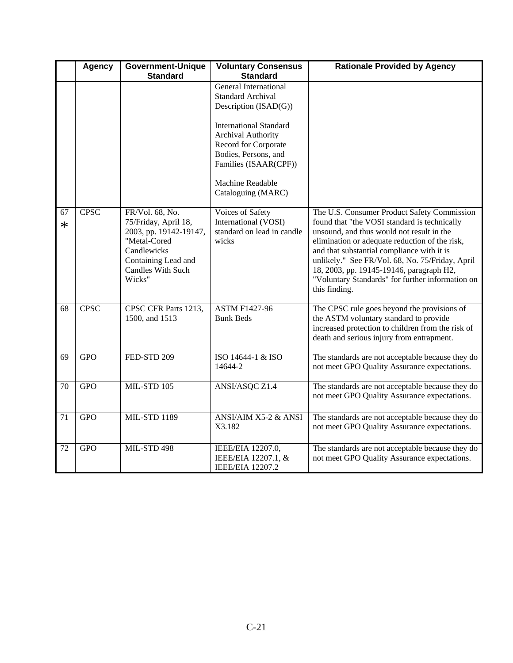|         | <b>Agency</b> | <b>Government-Unique</b><br><b>Standard</b>                                                                                                                   | <b>Voluntary Consensus</b><br><b>Standard</b>                                                                                                                                                                                                | <b>Rationale Provided by Agency</b>                                                                                                                                                                                                                                                                                                                                                                          |
|---------|---------------|---------------------------------------------------------------------------------------------------------------------------------------------------------------|----------------------------------------------------------------------------------------------------------------------------------------------------------------------------------------------------------------------------------------------|--------------------------------------------------------------------------------------------------------------------------------------------------------------------------------------------------------------------------------------------------------------------------------------------------------------------------------------------------------------------------------------------------------------|
|         |               |                                                                                                                                                               | <b>General International</b><br><b>Standard Archival</b><br>Description (ISAD(G))<br><b>International Standard</b><br><b>Archival Authority</b><br>Record for Corporate<br>Bodies, Persons, and<br>Families (ISAAR(CPF))<br>Machine Readable |                                                                                                                                                                                                                                                                                                                                                                                                              |
|         |               |                                                                                                                                                               | Cataloguing (MARC)                                                                                                                                                                                                                           |                                                                                                                                                                                                                                                                                                                                                                                                              |
| 67<br>∗ | <b>CPSC</b>   | FR/Vol. 68, No.<br>75/Friday, April 18,<br>2003, pp. 19142-19147,<br>"Metal-Cored<br>Candlewicks<br>Containing Lead and<br><b>Candles With Such</b><br>Wicks" | Voices of Safety<br>International (VOSI)<br>standard on lead in candle<br>wicks                                                                                                                                                              | The U.S. Consumer Product Safety Commission<br>found that "the VOSI standard is technically<br>unsound, and thus would not result in the<br>elimination or adequate reduction of the risk,<br>and that substantial compliance with it is<br>unlikely." See FR/Vol. 68, No. 75/Friday, April<br>18, 2003, pp. 19145-19146, paragraph H2,<br>"Voluntary Standards" for further information on<br>this finding. |
| 68      | <b>CPSC</b>   | CPSC CFR Parts 1213,<br>1500, and 1513                                                                                                                        | <b>ASTM F1427-96</b><br><b>Bunk Beds</b>                                                                                                                                                                                                     | The CPSC rule goes beyond the provisions of<br>the ASTM voluntary standard to provide<br>increased protection to children from the risk of<br>death and serious injury from entrapment.                                                                                                                                                                                                                      |
| 69      | <b>GPO</b>    | FED-STD 209                                                                                                                                                   | ISO 14644-1 & ISO<br>14644-2                                                                                                                                                                                                                 | The standards are not acceptable because they do<br>not meet GPO Quality Assurance expectations.                                                                                                                                                                                                                                                                                                             |
| 70      | <b>GPO</b>    | MIL-STD 105                                                                                                                                                   | ANSI/ASQC Z1.4                                                                                                                                                                                                                               | The standards are not acceptable because they do<br>not meet GPO Quality Assurance expectations.                                                                                                                                                                                                                                                                                                             |
| 71      | <b>GPO</b>    | <b>MIL-STD 1189</b>                                                                                                                                           | ANSI/AIM X5-2 & ANSI<br>X3.182                                                                                                                                                                                                               | The standards are not acceptable because they do<br>not meet GPO Quality Assurance expectations.                                                                                                                                                                                                                                                                                                             |
| 72      | <b>GPO</b>    | <b>MIL-STD 498</b>                                                                                                                                            | IEEE/EIA 12207.0,<br>IEEE/EIA 12207.1, &<br><b>IEEE/EIA 12207.2</b>                                                                                                                                                                          | The standards are not acceptable because they do<br>not meet GPO Quality Assurance expectations.                                                                                                                                                                                                                                                                                                             |